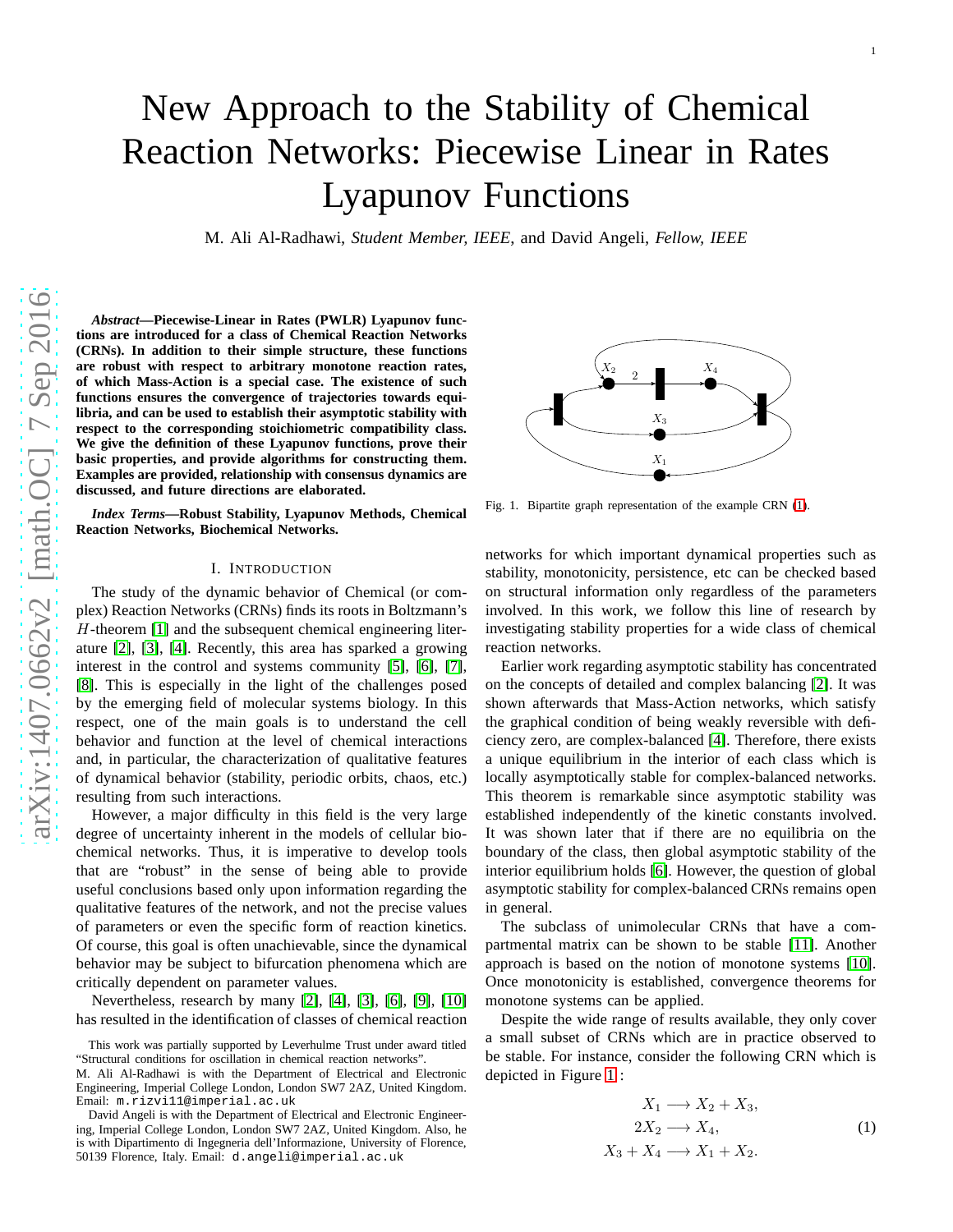# New Approach to the Stability of Chemical Reaction Networks: Piecewise Linear in Rates Lyapunov Functions

M. Ali Al-Radhawi, *Student Member, IEEE*, and David Angeli, *Fellow, IEEE*

*Abstract***—Piecewise-Linear in Rates (PWLR) Lyapunov functions are introduced for a class of Chemical Reaction Networks (CRNs). In addition to their simple structure, these functions are robust with respect to arbitrary monotone reaction rates, of which Mass-Action is a special case. The existence of such functions ensures the convergence of trajectories towards equilibria, and can be used to establish their asymptotic stability with respect to the corresponding stoichiometric compatibility class. We give the definition of these Lyapunov functions, prove their basic properties, and provide algorithms for constructing them. Examples are provided, relationship with consensus dynamics are discussed, and future directions are elaborated.**

*Index Terms***—Robust Stability, Lyapunov Methods, Chemical Reaction Networks, Biochemical Networks.**

#### I. INTRODUCTION

The study of the dynamic behavior of Chemical (or complex) Reaction Networks (CRNs) finds its roots in Boltzmann's  $H$ -theorem [\[1\]](#page-13-0) and the subsequent chemical engineering literature [\[2\]](#page-13-1), [\[3\]](#page-13-2), [\[4\]](#page-13-3). Recently, this area has sparked a growing interest in the control and systems community [\[5\]](#page-13-4), [\[6\]](#page-13-5), [\[7\]](#page-13-6), [\[8\]](#page-13-7). This is especially in the light of the challenges posed by the emerging field of molecular systems biology. In this respect, one of the main goals is to understand the cell behavior and function at the level of chemical interactions and, in particular, the characterization of qualitative features of dynamical behavior (stability, periodic orbits, chaos, etc.) resulting from such interactions.

However, a major difficulty in this field is the very large degree of uncertainty inherent in the models of cellular biochemical networks. Thus, it is imperative to develop tools that are "robust" in the sense of being able to provide useful conclusions based only upon information regarding the qualitative features of the network, and not the precise values of parameters or even the specific form of reaction kinetics. Of course, this goal is often unachievable, since the dynamical behavior may be subject to bifurcation phenomena which are critically dependent on parameter values.

Nevertheless, research by many [\[2\]](#page-13-1), [\[4\]](#page-13-3), [\[3\]](#page-13-2), [\[6\]](#page-13-5), [\[9\]](#page-13-8), [\[10\]](#page-13-9) has resulted in the identification of classes of chemical reaction



<span id="page-0-1"></span>Fig. 1. Bipartite graph representation of the example CRN [\(1\)](#page-0-0).

networks for which important dynamical properties such as stability, monotonicity, persistence, etc can be checked based on structural information only regardless of the parameter s involved. In this work, we follow this line of research by investigating stability properties for a wide class of chemical reaction networks.

Earlier work regarding asymptotic stability has concentrated on the concepts of detailed and complex balancing [\[2\]](#page-13-1). It was shown afterwards that Mass-Action networks, which satisfy the graphical condition of being weakly reversible with defi ciency zero, are complex-balanced [\[4\]](#page-13-3). Therefore, there exists a unique equilibrium in the interior of each class which is locally asymptotically stable for complex-balanced networks. This theorem is remarkable since asymptotic stability was established independently of the kinetic constants involved. It was shown later that if there are no equilibria on the boundary of the class, then global asymptotic stability of the interior equilibrium holds [\[6\]](#page-13-5). However, the question of global asymptotic stability for complex-balanced CRNs remains open in general.

The subclass of unimolecular CRNs that have a compartmental matrix can be shown to be stable [\[11\]](#page-13-10). Another approach is based on the notion of monotone systems [\[10\]](#page-13-9). Once monotonicity is established, convergence theorems fo r monotone systems can be applied.

Despite the wide range of results available, they only cover a small subset of CRNs which are in practice observed to be stable. For instance, consider the following CRN which is depicted in Figure [1](#page-0-1) :

 $\overline{2}$ 

<span id="page-0-0"></span>
$$
X_1 \longrightarrow X_2 + X_3,
$$
  
\n
$$
2X_2 \longrightarrow X_4,
$$
  
\n
$$
X_3 + X_4 \longrightarrow X_1 + X_2.
$$
\n(1)

This work was partially supported by Leverhulme Trust under award titled "Structural conditions for oscillation in chemical reaction networks".

M. Ali Al-Radhawi is with the Department of Electrical and Electronic Engineering, Imperial College London, London SW7 2AZ, United Kingdom. Email: m.rizvi11@imperial.ac.uk

David Angeli is with the Department of Electrical and Electronic Engineering, Imperial College London, London SW7 2AZ, United Kingdom. Also, he is with Dipartimento di Ingegneria dell'Informazione, University of Florence, 50139 Florence, Italy. Email: d.angeli@imperial.ac.uk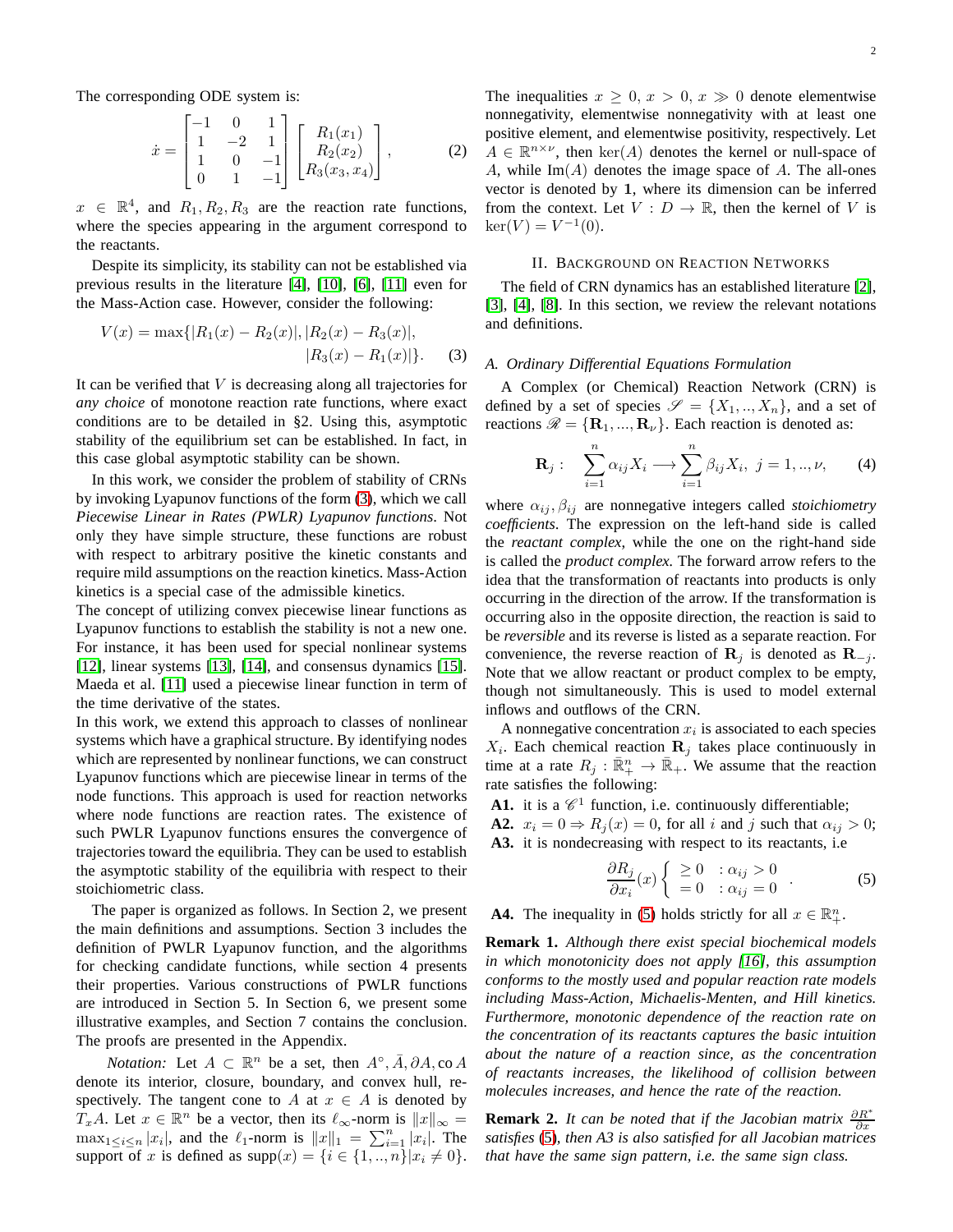The corresponding ODE system is:

$$
\dot{x} = \begin{bmatrix} -1 & 0 & 1 \\ 1 & -2 & 1 \\ 1 & 0 & -1 \\ 0 & 1 & -1 \end{bmatrix} \begin{bmatrix} R_1(x_1) \\ R_2(x_2) \\ R_3(x_3, x_4) \end{bmatrix},
$$
(2)

 $x \in \mathbb{R}^4$ , and  $R_1, R_2, R_3$  are the reaction rate functions, where the species appearing in the argument correspond to the reactants.

Despite its simplicity, its stability can not be established via previous results in the literature [\[4\]](#page-13-3), [\[10\]](#page-13-9), [\[6\]](#page-13-5), [\[11\]](#page-13-10) even for the Mass-Action case. However, consider the following:

$$
V(x) = \max\{|R_1(x) - R_2(x)|, |R_2(x) - R_3(x)|, |R_3(x) - R_1(x)|\}.
$$
 (3)

It can be verified that  $V$  is decreasing along all trajectories for *any choice* of monotone reaction rate functions, where exact conditions are to be detailed in §2. Using this, asymptotic stability of the equilibrium set can be established. In fact, in this case global asymptotic stability can be shown.

In this work, we consider the problem of stability of CRNs by invoking Lyapunov functions of the form [\(3\)](#page-1-0), which we call *Piecewise Linear in Rates (PWLR) Lyapunov functions*. Not only they have simple structure, these functions are robust with respect to arbitrary positive the kinetic constants and require mild assumptions on the reaction kinetics. Mass-Action kinetics is a special case of the admissible kinetics.

The concept of utilizing convex piecewise linear functions as Lyapunov functions to establish the stability is not a new one. For instance, it has been used for special nonlinear systems [\[12\]](#page-13-11), linear systems [\[13\]](#page-13-12), [\[14\]](#page-13-13), and consensus dynamics [\[15\]](#page-13-14). Maeda et al. [\[11\]](#page-13-10) used a piecewise linear function in term of the time derivative of the states.

In this work, we extend this approach to classes of nonlinear systems which have a graphical structure. By identifying nodes which are represented by nonlinear functions, we can construct Lyapunov functions which are piecewise linear in terms of the node functions. This approach is used for reaction networks where node functions are reaction rates. The existence of such PWLR Lyapunov functions ensures the convergence of trajectories toward the equilibria. They can be used to establish the asymptotic stability of the equilibria with respect to their stoichiometric class.

The paper is organized as follows. In Section 2, we present the main definitions and assumptions. Section 3 includes the definition of PWLR Lyapunov function, and the algorithms for checking candidate functions, while section 4 presents their properties. Various constructions of PWLR functions are introduced in Section 5. In Section 6, we present some illustrative examples, and Section 7 contains the conclusion. The proofs are presented in the Appendix.

*Notation:* Let  $A \subset \mathbb{R}^n$  be a set, then  $A^\circ$ ,  $\overline{A}$ ,  $\partial A$ , co A denote its interior, closure, boundary, and convex hull, respectively. The tangent cone to A at  $x \in A$  is denoted by  $T_xA$ . Let  $x \in \mathbb{R}^n$  be a vector, then its  $\ell_{\infty}$ -norm is  $||x||_{\infty} =$  $\max_{1 \leq i \leq n} |x_i|$ , and the  $\ell_1$ -norm is  $||x||_1 = \sum_{i=1}^n |x_i|$ . The support of x is defined as  $supp(x) = \{i \in \{1, ..., n\} | x_i \neq 0\}.$  The inequalities  $x \geq 0, x > 0, x \gg 0$  denote elementwise nonnegativity, elementwise nonnegativity with at least one positive element, and elementwise positivity, respectively. Let  $A \in \mathbb{R}^{n \times \nu}$ , then  $\ker(A)$  denotes the kernel or null-space of A, while  $Im(A)$  denotes the image space of A. The all-ones vector is denoted by 1, where its dimension can be inferred from the context. Let  $V : D \to \mathbb{R}$ , then the kernel of V is  $\ker(V) = V^{-1}(0).$ 

## II. BACKGROUND ON REACTION NETWORKS

The field of CRN dynamics has an established literature [\[2\]](#page-13-1), [\[3\]](#page-13-2), [\[4\]](#page-13-3), [\[8\]](#page-13-7). In this section, we review the relevant notations and definitions.

## <span id="page-1-0"></span>*A. Ordinary Differential Equations Formulation*

A Complex (or Chemical) Reaction Network (CRN) is defined by a set of species  $\mathscr{S} = \{X_1, ..., X_n\}$ , and a set of reactions  $\mathscr{R} = {\bf R}_1, ..., {\bf R}_{\nu}$ . Each reaction is denoted as:

<span id="page-1-2"></span>
$$
\mathbf{R}_{j}: \quad \sum_{i=1}^{n} \alpha_{ij} X_{i} \longrightarrow \sum_{i=1}^{n} \beta_{ij} X_{i}, \ j = 1,..,\nu, \qquad (4)
$$

where  $\alpha_{ij}, \beta_{ij}$  are nonnegative integers called *stoichiometry coefficients*. The expression on the left-hand side is called the *reactant complex*, while the one on the right-hand side is called the *product complex.* The forward arrow refers to the idea that the transformation of reactants into products is only occurring in the direction of the arrow. If the transformation is occurring also in the opposite direction, the reaction is said to be *reversible* and its reverse is listed as a separate reaction. For convenience, the reverse reaction of  $\mathbf{R}_j$  is denoted as  $\mathbf{R}_{-j}$ . Note that we allow reactant or product complex to be empty, though not simultaneously. This is used to model external inflows and outflows of the CRN.

A nonnegative concentration  $x_i$  is associated to each species  $X_i$ . Each chemical reaction  $\mathbf{R}_j$  takes place continuously in time at a rate  $R_j : \mathbb{R}^n_+ \to \mathbb{R}_+$ . We assume that the reaction rate satisfies the following:

A1. it is a  $\mathscr{C}^1$  function, i.e. continuously differentiable; **A2.**  $x_i = 0 \Rightarrow R_j(x) = 0$ , for all i and j such that  $\alpha_{ij} > 0$ ; **A3.** it is nondecreasing with respect to its reactants, i.e

<span id="page-1-1"></span>
$$
\frac{\partial R_j}{\partial x_i}(x) \begin{cases} \geq 0 & : \alpha_{ij} > 0 \\ = 0 & : \alpha_{ij} = 0 \end{cases} . \tag{5}
$$

**A4.** The inequality in [\(5\)](#page-1-1) holds strictly for all  $x \in \mathbb{R}^n_+$ .

**Remark 1.** *Although there exist special biochemical models in which monotonicity does not apply [\[16\]](#page-14-0), this assumption conforms to the mostly used and popular reaction rate models including Mass-Action, Michaelis-Menten, and Hill kinetics. Furthermore, monotonic dependence of the reaction rate on the concentration of its reactants captures the basic intuition about the nature of a reaction since, as the concentration of reactants increases, the likelihood of collision between molecules increases, and hence the rate of the reaction.*

**Remark 2.** *It can be noted that if the Jacobian matrix*  $\frac{\partial R^*}{\partial x}$ *satisfies* [\(5\)](#page-1-1)*, then A3 is also satisfied for all Jacobian matrices that have the same sign pattern, i.e. the same sign class.*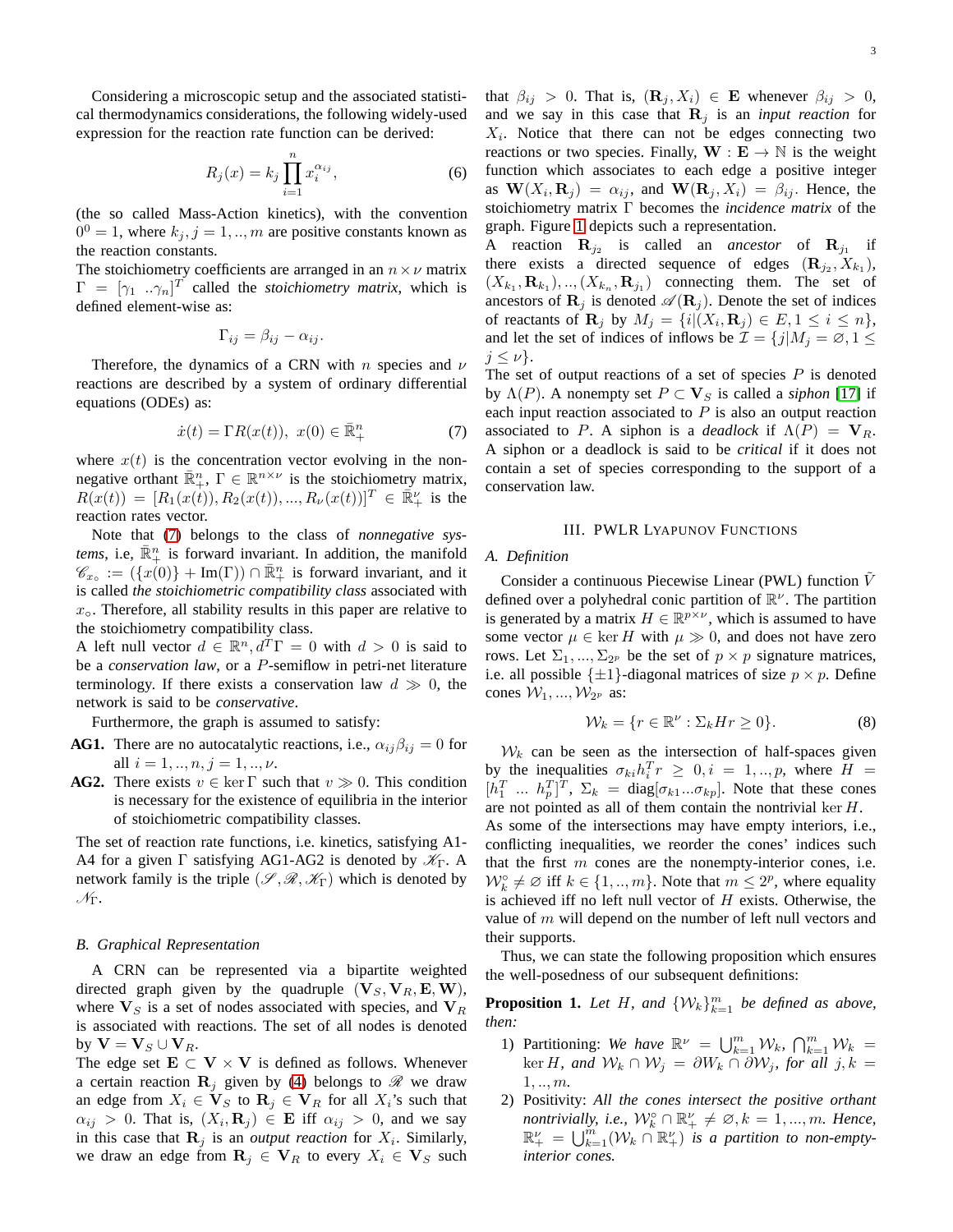Considering a microscopic setup and the associated statistical thermodynamics considerations, the following widely-used expression for the reaction rate function can be derived:

$$
R_j(x) = k_j \prod_{i=1}^n x_i^{\alpha_{ij}},\tag{6}
$$

(the so called Mass-Action kinetics), with the convention  $0^0 = 1$ , where  $k_j$ ,  $j = 1, ..., m$  are positive constants known as the reaction constants.

The stoichiometry coefficients are arranged in an  $n \times \nu$  matrix  $\Gamma = [\gamma_1 \dots \gamma_n]^T$  called the *stoichiometry matrix*, which is defined element-wise as:

$$
\Gamma_{ij} = \beta_{ij} - \alpha_{ij}.
$$

Therefore, the dynamics of a CRN with n species and  $\nu$ reactions are described by a system of ordinary differential equations (ODEs) as:

<span id="page-2-0"></span>
$$
\dot{x}(t) = \Gamma R(x(t)), \ x(0) \in \bar{\mathbb{R}}_+^n \tag{7}
$$

where  $x(t)$  is the concentration vector evolving in the nonnegative orthant  $\overline{\mathbb{R}}_+^n$ ,  $\Gamma \in \mathbb{R}^{n \times \nu}$  is the stoichiometry matrix,  $R(x(t)) = [R_1(x(t)), R_2(x(t)), ..., R_{\nu}(x(t))]^T \in \mathbb{R}^{\nu}_+$  is the reaction rates vector.

Note that [\(7\)](#page-2-0) belongs to the class of *nonnegative systems*, i.e,  $\overline{\mathbb{R}}_+^n$  is forward invariant. In addition, the manifold  $\mathscr{C}_{x_{\circ}} := (\{x(0)\} + \text{Im}(\Gamma)) \cap \bar{\mathbb{R}}_{+}^{n}$  is forward invariant, and it is called *the stoichiometric compatibility class* associated with  $x<sub>o</sub>$ . Therefore, all stability results in this paper are relative to the stoichiometry compatibility class.

A left null vector  $d \in \mathbb{R}^n$ ,  $d^T\Gamma = 0$  with  $d > 0$  is said to be a *conservation law*, or a P-semiflow in petri-net literature terminology. If there exists a conservation law  $d \gg 0$ , the network is said to be *conservative*.

Furthermore, the graph is assumed to satisfy:

- **AG1.** There are no autocatalytic reactions, i.e.,  $\alpha_{ij}\beta_{ij} = 0$  for all  $i = 1, ..., n, j = 1, ..., \nu$ .
- **AG2.** There exists  $v \in \text{ker } \Gamma$  such that  $v \gg 0$ . This condition is necessary for the existence of equilibria in the interior of stoichiometric compatibility classes.

The set of reaction rate functions, i.e. kinetics, satisfying A1- A4 for a given  $\Gamma$  satisfying AG1-AG2 is denoted by  $\mathcal{K}_{\Gamma}$ . A network family is the triple  $(\mathscr{S}, \mathscr{R}, \mathscr{K}_{\Gamma})$  which is denoted by  $\mathscr{N}_{\Gamma}.$ 

#### <span id="page-2-2"></span>*B. Graphical Representation*

A CRN can be represented via a bipartite weighted directed graph given by the quadruple  $(V_S, V_R, E, W)$ , where  $V_S$  is a set of nodes associated with species, and  $V_R$ is associated with reactions. The set of all nodes is denoted by  $\mathbf{V} = \mathbf{V}_S \cup \mathbf{V}_R$ .

The edge set  $E \subset V \times V$  is defined as follows. Whenever a certain reaction  $\mathbf{R}_i$  given by [\(4\)](#page-1-2) belongs to  $\mathcal{R}$  we draw an edge from  $X_i \in V_S$  to  $\mathbf{R}_j \in V_R$  for all  $X_i$ 's such that  $\alpha_{ij} > 0$ . That is,  $(X_i, \mathbf{R}_j) \in \mathbf{E}$  iff  $\alpha_{ij} > 0$ , and we say in this case that  $\mathbf{R}_j$  is an *output reaction* for  $X_i$ . Similarly, we draw an edge from  $\mathbf{R}_i \in \mathbf{V}_R$  to every  $X_i \in \mathbf{V}_S$  such that  $\beta_{ij} > 0$ . That is,  $(\mathbf{R}_j, X_i) \in \mathbf{E}$  whenever  $\beta_{ij} > 0$ , and we say in this case that  $\mathbf{R}_j$  is an *input reaction* for  $X_i$ . Notice that there can not be edges connecting two reactions or two species. Finally,  $W : E \to \mathbb{N}$  is the weight function which associates to each edge a positive integer as  $\mathbf{W}(X_i, \mathbf{R}_j) = \alpha_{ij}$ , and  $\mathbf{W}(\mathbf{R}_j, X_i) = \beta_{ij}$ . Hence, the stoichiometry matrix Γ becomes the *incidence matrix* of the graph. Figure [1](#page-0-1) depicts such a representation.

A reaction  $\mathbf{R}_{j_2}$  is called an *ancestor* of  $\mathbf{R}_{j_1}$  if there exists a directed sequence of edges  $(\mathbf{R}_{j_2}, X_{k_1})$ ,  $(X_{k_1}, \mathbf{R}_{k_1}), ..., (X_{k_n}, \mathbf{R}_{j_1})$  connecting them. The set of ancestors of  $\mathbf{R}_i$  is denoted  $\mathscr{A}(\mathbf{R}_i)$ . Denote the set of indices of reactants of  $\mathbf{R}_j$  by  $M_j = \{i | (X_i, \mathbf{R}_j) \in E, 1 \le i \le n\},\$ and let the set of indices of inflows be  $\mathcal{I} = \{j | M_j = \emptyset, 1 \leq j \leq N_j\}$  $j \leq \nu$ .

The set of output reactions of a set of species  $P$  is denoted by  $\Lambda(P)$ . A nonempty set  $P \subset V_S$  is called a *siphon* [\[17\]](#page-14-1) if each input reaction associated to  $P$  is also an output reaction associated to P. A siphon is a *deadlock* if  $\Lambda(P) = V_R$ . A siphon or a deadlock is said to be *critical* if it does not contain a set of species corresponding to the support of a conservation law.

## III. PWLR LYAPUNOV FUNCTIONS

#### *A. Definition*

Consider a continuous Piecewise Linear (PWL) function  $\tilde{V}$ defined over a polyhedral conic partition of  $\mathbb{R}^{\nu}$ . The partition is generated by a matrix  $H \in \mathbb{R}^{p \times \nu}$ , which is assumed to have some vector  $\mu \in \text{ker } H$  with  $\mu \gg 0$ , and does not have zero rows. Let  $\Sigma_1, ..., \Sigma_{2^p}$  be the set of  $p \times p$  signature matrices, i.e. all possible  $\{\pm 1\}$ -diagonal matrices of size  $p \times p$ . Define cones  $W_1, ..., W_{2^p}$  as:

<span id="page-2-1"></span>
$$
\mathcal{W}_k = \{r \in \mathbb{R}^\nu : \Sigma_k H r \ge 0\}.
$$
 (8)

 $W_k$  can be seen as the intersection of half-spaces given by the inequalities  $\sigma_{ki}h_i^T r \geq 0, i = 1,..,p$ , where  $H =$  $[h_1^T \dots h_p^T]^T$ ,  $\Sigma_k = \text{diag}[\sigma_{k1}...\sigma_{kp}]$ . Note that these cones are not pointed as all of them contain the nontrivial ker H.

As some of the intersections may have empty interiors, i.e., conflicting inequalities, we reorder the cones' indices such that the first  $m$  cones are the nonempty-interior cones, i.e.  $W_k^{\circ} \neq \emptyset$  iff  $k \in \{1, ..., m\}$ . Note that  $m \leq 2^p$ , where equality is achieved iff no left null vector of  $H$  exists. Otherwise, the value of m will depend on the number of left null vectors and their supports.

<span id="page-2-3"></span>Thus, we can state the following proposition which ensures the well-posedness of our subsequent definitions:

**Proposition 1.** Let H, and  $\{W_k\}_{k=1}^m$  be defined as above, *then:*

- 1) Partitioning: We have  $\mathbb{R}^{\nu} = \bigcup_{k=1}^{m} \mathcal{W}_k$ ,  $\bigcap_{k=1}^{m} \mathcal{W}_k =$ ker *H*, and  $W_k ∩ W_j = ∂W_k ∩ ∂W_j$ , for all  $j, k =$ 1, .., m*.*
- 2) Positivity: *All the cones intersect the positive orthant nontrivially, i.e.,*  $\mathcal{W}_k^{\circ} \cap \mathbb{R}_+^{\nu} \neq \emptyset$ ,  $k = 1, ..., m$ *. Hence,*  $\mathbb{R}^{\nu}_{+} = \bigcup_{k=1}^{m} (\mathcal{W}_{k} \cap \mathbb{R}^{\nu}_{+})$  *is a partition to non-emptyinterior cones.*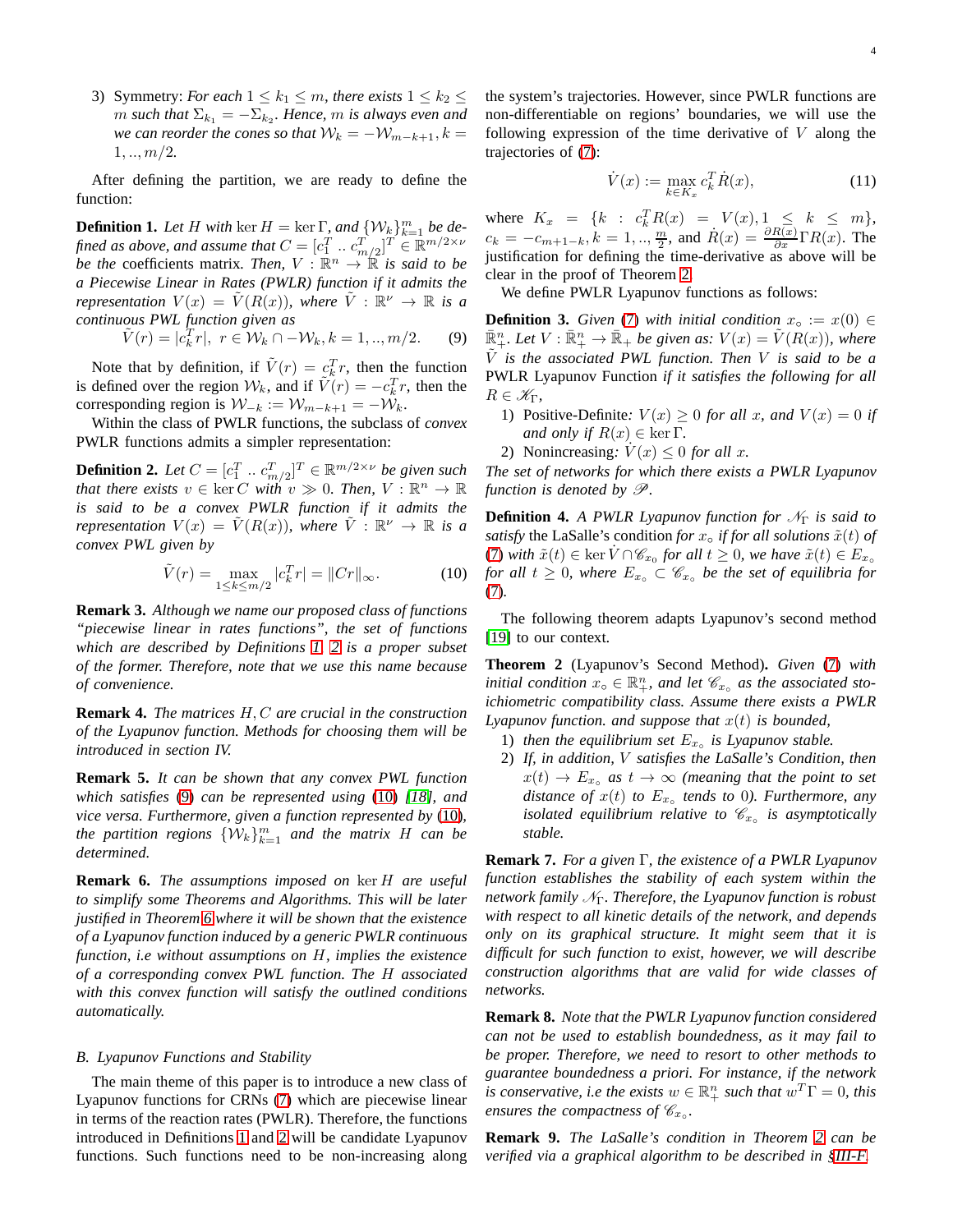3) Symmetry: *For each*  $1 \leq k_1 \leq m$ , *there exists*  $1 \leq k_2 \leq$  $m$  such that  $\Sigma_{k_1} = -\Sigma_{k_2}$ . Hence,  $m$  is always even and *we can reorder the cones so that*  $W_k = -W_{m-k+1}, k =$  $1, \ldots, m/2.$ 

<span id="page-3-0"></span>After defining the partition, we are ready to define the function:

**Definition 1.** Let H with  $\ker H = \ker \Gamma$ , and  $\{W_k\}_{k=1}^m$  be defined as above, and assume that  $C = [c_1^T \, ... \, c_{m/2}^T]^T \in \mathbb{R}^{m/2 \times \nu}$ *be the* coefficients matrix. Then,  $V : \mathbb{R}^n \to \mathbb{R}$  is said to be *a Piecewise Linear in Rates (PWLR) function if it admits the representation*  $V(x) = \tilde{V}(R(x))$ , where  $\tilde{V}: \mathbb{R}^{\nu} \to \mathbb{R}$  is a *continuous PWL function given as*

<span id="page-3-2"></span>
$$
\tilde{V}(r) = |c_k^T r|, \ r \in \mathcal{W}_k \cap -\mathcal{W}_k, k = 1,..,m/2.
$$
 (9)

Note that by definition, if  $\tilde{V}(r) = c_k^T r$ , then the function is defined over the region  $W_k$ , and if  $\tilde{V}(r) = -c_k^T r$ , then the corresponding region is  $W_{-k} := W_{m-k+1} = -W_k$ .

<span id="page-3-1"></span>Within the class of PWLR functions, the subclass of *convex* PWLR functions admits a simpler representation:

**Definition 2.** Let  $C = [c_1^T \dots c_{m/2}^T]^T \in \mathbb{R}^{m/2 \times \nu}$  be given such *that there exists*  $v \in \text{ker } C$  *with*  $v \gg 0$ *. Then,*  $V : \mathbb{R}^n \to \mathbb{R}$ *is said to be a convex PWLR function if it admits the representation*  $V(x) = \tilde{V}(R(x))$ , where  $\tilde{V}$  :  $\mathbb{R}^{\nu} \to \mathbb{R}$  is a *convex PWL given by*

<span id="page-3-3"></span>
$$
\tilde{V}(r) = \max_{1 \le k \le m/2} |c_k^T r| = ||Cr||_{\infty}.
$$
 (10)

**Remark 3.** *Although we name our proposed class of functions "piecewise linear in rates functions", the set of functions which are described by Definitions [1,](#page-3-0) [2](#page-3-1) is a proper subset of the former. Therefore, note that we use this name because of convenience.*

**Remark 4.** *The matrices* H, C *are crucial in the construction of the Lyapunov function. Methods for choosing them will be introduced in section IV.*

**Remark 5.** *It can be shown that any convex PWL function which satisfies* [\(9\)](#page-3-2) *can be represented using* [\(10\)](#page-3-3) *[\[18\]](#page-14-2), and vice versa. Furthermore, given a function represented by* [\(10\)](#page-3-3)*,* the partition regions  $\{ \mathcal{W}_k \}_{k=1}^m$  and the matrix  $H$  can be *determined.*

**Remark 6.** *The assumptions imposed on* ker H *are useful to simplify some Theorems and Algorithms. This will be later justified in Theorem [6](#page-4-0) where it will be shown that the existence of a Lyapunov function induced by a generic PWLR continuous function, i.e without assumptions on* H*, implies the existence of a corresponding convex PWL function. The* H *associated with this convex function will satisfy the outlined conditions automatically.*

#### *B. Lyapunov Functions and Stability*

The main theme of this paper is to introduce a new class of Lyapunov functions for CRNs [\(7\)](#page-2-0) which are piecewise linear in terms of the reaction rates (PWLR). Therefore, the functions introduced in Definitions [1](#page-3-0) and [2](#page-3-1) will be candidate Lyapunov functions. Such functions need to be non-increasing along

the system's trajectories. However, since PWLR functions are non-differentiable on regions' boundaries, we will use the following expression of the time derivative of  $V$  along the trajectories of [\(7\)](#page-2-0):

$$
\dot{V}(x) := \max_{k \in K_x} c_k^T \dot{R}(x),\tag{11}
$$

where  $K_x = \{k : c_k^T R(x) = V(x), 1 \leq k \leq m\},$  $c_k = -c_{m+1-k}, k = 1, ..., \frac{m}{2}$ , and  $\dot{R}(x) = \frac{\partial R(x)}{\partial x} \Gamma R(x)$ . The justification for defining the time-derivative as above will be clear in the proof of Theorem [2.](#page-3-4)

We define PWLR Lyapunov functions as follows:

**Definition 3.** *Given* [\(7\)](#page-2-0) *with initial condition*  $x_0 := x(0) \in$  $\mathbb{\bar{R}}_+^n$ . Let  $V : \mathbb{\bar{R}}_+^n \to \mathbb{\bar{R}}_+$  be given as:  $V(x) = \tilde{V}(R(x))$ , where  $\tilde{V}$  *is the associated PWL function. Then V is said to be a* PWLR Lyapunov Function *if it satisfies the following for all*  $R \in \mathscr{K}_{\Gamma}$ ,

- 1) Positive-Definite:  $V(x) > 0$  *for all x, and*  $V(x) = 0$  *if and only if*  $R(x) \in \ker \Gamma$ .
- 2) Nonincreasing:  $V(x) \leq 0$  *for all x*.

*The set of networks for which there exists a PWLR Lyapunov function is denoted by* P*.*

<span id="page-3-5"></span>**Definition 4.** *A PWLR Lyapunov function for*  $\mathcal{N}_{\Gamma}$  *is said to satisfy* the LaSalle's condition *for*  $x_0$  *if for all solutions*  $\tilde{x}(t)$  *of* [\(7\)](#page-2-0) with  $\tilde{x}(t) \in \ker \dot{V} \cap \mathscr{C}_{x_0}$  for all  $t \geq 0$ , we have  $\tilde{x}(t) \in E_{x_0}$ *for all*  $t \geq 0$ *, where*  $E_{x} \subset \mathscr{C}_{x}$  *be the set of equilibria for* [\(7\)](#page-2-0)*.*

<span id="page-3-4"></span>The following theorem adapts Lyapunov's second method [\[19\]](#page-14-3) to our context.

**Theorem 2** (Lyapunov's Second Method)**.** *Given* [\(7\)](#page-2-0) *with initial condition*  $x_0 \in \mathbb{R}^n_+$ *, and let*  $\mathscr{C}_{x_0}$  *as the associated stoichiometric compatibility class. Assume there exists a PWLR Lyapunov function. and suppose that*  $x(t)$  *is bounded,* 

- 1) *then the equilibrium set*  $E_{x}$  *is Lyapunov stable.*
- 2) *If, in addition,* V *satisfies the LaSalle's Condition, then*  $x(t) \rightarrow E_{x}$  *as*  $t \rightarrow \infty$  *(meaning that the point to set distance of*  $x(t)$  *to*  $E_{x}$ , *tends to* 0*). Furthermore, any isolated equilibrium relative to*  $\mathcal{C}_{x}$  *is asymptotically stable.*

**Remark 7.** *For a given* Γ*, the existence of a PWLR Lyapunov function establishes the stability of each system within the network family*  $N<sub>Γ</sub>$ *. Therefore, the Lyapunov function is robust with respect to all kinetic details of the network, and depends only on its graphical structure. It might seem that it is difficult for such function to exist, however, we will describe construction algorithms that are valid for wide classes of networks.*

**Remark 8.** *Note that the PWLR Lyapunov function considered can not be used to establish boundedness, as it may fail to be proper. Therefore, we need to resort to other methods to guarantee boundedness a priori. For instance, if the network is conservative, i.e the exists*  $w \in \mathbb{R}^n_+$  *such that*  $w^T \Gamma = 0$ *, this ensures the compactness of*  $\mathscr{C}_{x_0}$ *.* 

**Remark 9.** *The LaSalle's condition in Theorem [2](#page-3-4) can be verified via a graphical algorithm to be described in [§III-F.](#page-5-0)*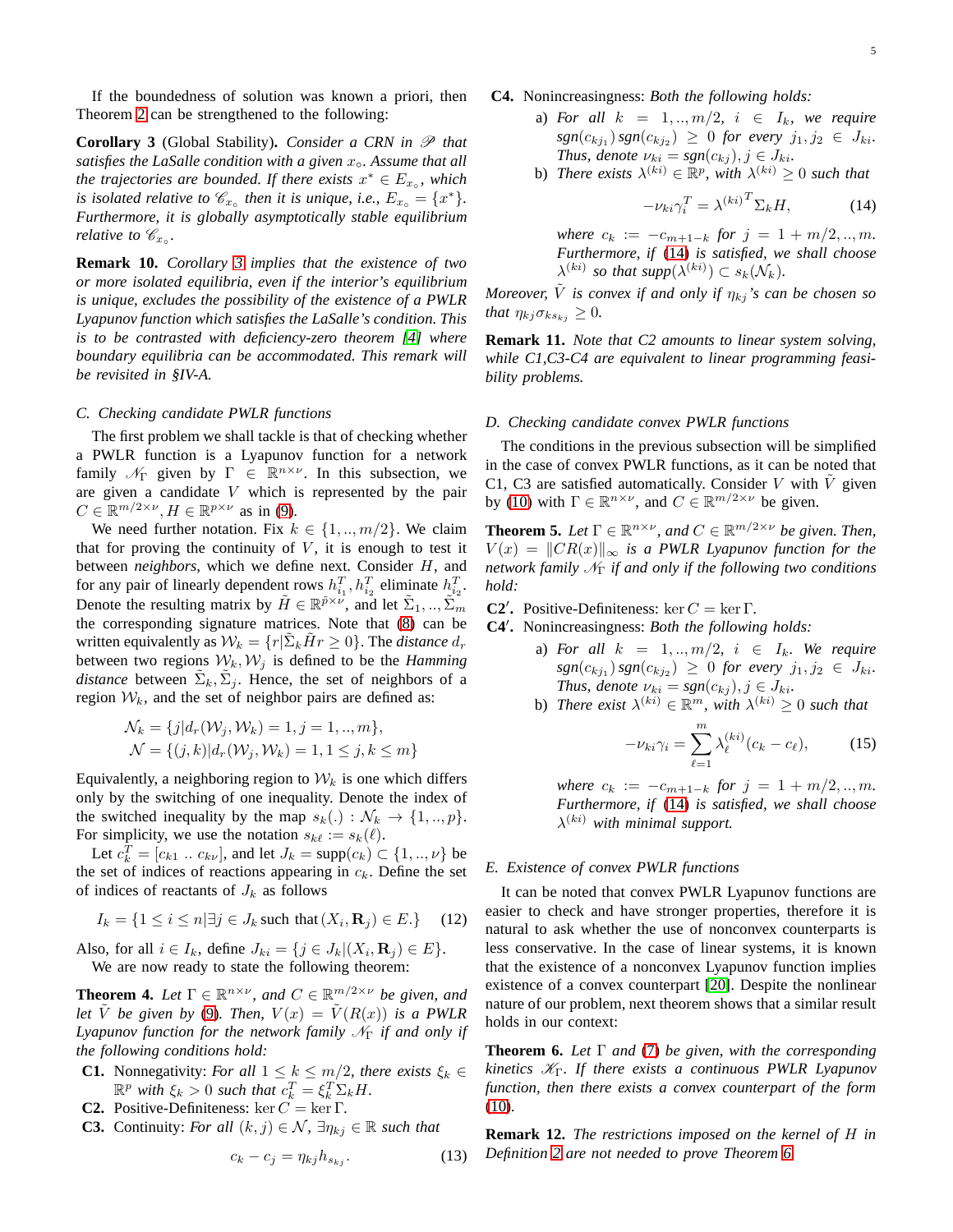<span id="page-4-1"></span>If the boundedness of solution was known a priori, then Theorem [2](#page-3-4) can be strengthened to the following:

**Corollary 3** (Global Stability). *Consider a CRN in*  $\mathscr P$  *that satisfies the LaSalle condition with a given* x◦*. Assume that all the trajectories are bounded. If there exists*  $x^* \in E_{x_0}$ , which *is isolated relative to*  $\mathscr{C}_{x}$  *then it is unique, i.e.,*  $E_{x}$  = { $x^*$ }*. Furthermore, it is globally asymptotically stable equilibrium relative to*  $\mathscr{C}_{x_0}$ *.* 

**Remark 10.** *Corollary [3](#page-4-1) implies that the existence of two or more isolated equilibria, even if the interior's equilibrium is unique, excludes the possibility of the existence of a PWLR Lyapunov function which satisfies the LaSalle's condition. This is to be contrasted with deficiency-zero theorem [\[4\]](#page-13-3) where boundary equilibria can be accommodated. This remark will be revisited in §IV-A.*

#### *C. Checking candidate PWLR functions*

The first problem we shall tackle is that of checking whether a PWLR function is a Lyapunov function for a network family  $\mathcal{N}_{\Gamma}$  given by  $\Gamma \in \mathbb{R}^{n \times \nu}$ . In this subsection, we are given a candidate V which is represented by the pair  $C \in \mathbb{R}^{m/2 \times \nu}, H \in \mathbb{R}^{p \times \nu}$  as in [\(9\)](#page-3-2).

We need further notation. Fix  $k \in \{1, ..., m/2\}$ . We claim that for proving the continuity of  $V$ , it is enough to test it between *neighbors*, which we define next. Consider H, and for any pair of linearly dependent rows  $h_{i_1}^T, h_{i_2}^T$  eliminate  $h_{i_2}^T$ . Denote the resulting matrix by  $\tilde{H} \in \mathbb{R}^{\tilde{p} \times \tilde{\nu}}$ , and let  $\tilde{\Sigma}_1, ..., \tilde{\Sigma}_m$ the corresponding signature matrices. Note that [\(8\)](#page-2-1) can be written equivalently as  $W_k = \{r | \tilde{\Sigma}_k \tilde{H} r \geq 0\}$ . The *distance*  $d_r$ between two regions  $W_k, W_j$  is defined to be the *Hamming distance* between  $\tilde{\Sigma}_k, \tilde{\Sigma}_j$ . Hence, the set of neighbors of a region  $W_k$ , and the set of neighbor pairs are defined as:

$$
\mathcal{N}_k = \{ j | d_r(\mathcal{W}_j, \mathcal{W}_k) = 1, j = 1, ..., m \},
$$
  

$$
\mathcal{N} = \{ (j, k) | d_r(\mathcal{W}_j, \mathcal{W}_k) = 1, 1 \le j, k \le m \}
$$

Equivalently, a neighboring region to  $W_k$  is one which differs only by the switching of one inequality. Denote the index of the switched inequality by the map  $s_k(.) : \mathcal{N}_k \to \{1, ..., p\}.$ For simplicity, we use the notation  $s_{k\ell} := s_k(\ell)$ .

Let  $c_k^T = [c_{k1} \dots c_{k\nu}]$ , and let  $J_k = \text{supp}(c_k) \subset \{1, ..., \nu\}$  be the set of indices of reactions appearing in  $c_k$ . Define the set of indices of reactants of  $J_k$  as follows

$$
I_k = \{1 \le i \le n | \exists j \in J_k \text{ such that } (X_i, \mathbf{R}_j) \in E.\} \tag{12}
$$

<span id="page-4-4"></span>Also, for all  $i \in I_k$ , define  $J_{ki} = \{j \in J_k | (X_i, \mathbf{R}_j) \in E\}.$ We are now ready to state the following theorem:

**Theorem 4.** Let  $\Gamma \in \mathbb{R}^{n \times \nu}$ , and  $C \in \mathbb{R}^{m/2 \times \nu}$  be given, and *let*  $\tilde{V}$  *be given by* [\(9\)](#page-3-2)*. Then,*  $V(x) = \tilde{V}(R(x))$  *is a PWLR Lyapunov function for the network family*  $N<sub>Γ</sub>$  *if and only if the following conditions hold:*

- **C1.** Nonnegativity: *For all*  $1 \leq k \leq m/2$ *, there exists*  $\xi_k \in$  $\mathbb{R}^p$  with  $\xi_k > 0$  such that  $c_k^T = \xi_k^T \Sigma_k H$ .
- **C2.** Positive-Definiteness: ker  $C = \ker \Gamma$ .
- **C3.** Continuity: *For all*  $(k, j) \in \mathcal{N}$ ,  $\exists \eta_{kj} \in \mathbb{R}$  *such that*

$$
c_k - c_j = \eta_{kj} h_{s_{kj}}.\tag{13}
$$

## **C4.** Nonincreasingness: *Both the following holds:*

- a) *For all*  $k = 1, ..., m/2, i \in I_k$ , we require  $sgn(c_{kj_1}) sgn(c_{kj_2}) \geq 0$  for every  $j_1, j_2 \in J_{ki}$ . *Thus, denote*  $\nu_{ki} = sgn(c_{kj}), j \in J_{ki}$ .
- b) *There exists*  $\lambda^{(ki)} \in \mathbb{R}^p$ , with  $\lambda^{(ki)} \geq 0$  *such that*

<span id="page-4-2"></span>
$$
-\nu_{ki}\gamma_i^T = \lambda^{(ki)}^T \Sigma_k H,\tag{14}
$$

*where*  $c_k := -c_{m+1-k}$  *for*  $j = 1 + m/2, ..., m$ . *Furthermore, if* [\(14\)](#page-4-2) *is satisfied, we shall choose*  $\lambda^{(ki)}$  so that supp $(\lambda^{(ki)}) \subset s_k(\mathcal{N}_k)$ .

*Moreover,*  $\tilde{V}$  *is convex if and only if*  $\eta_{ki}$ *'s can be chosen so that*  $\eta_{kj} \sigma_{ks_{ki}} \geq 0$ *.* 

**Remark 11.** *Note that C2 amounts to linear system solving, while C1,C3-C4 are equivalent to linear programming feasibility problems.*

#### *D. Checking candidate convex PWLR functions*

The conditions in the previous subsection will be simplified in the case of convex PWLR functions, as it can be noted that C1, C3 are satisfied automatically. Consider  $V$  with  $V$  given by [\(10\)](#page-3-3) with  $\Gamma \in \mathbb{R}^{n \times \nu}$ , and  $C \in \mathbb{R}^{m/2 \times \nu}$  be given.

<span id="page-4-6"></span>**Theorem 5.** Let  $\Gamma \in \mathbb{R}^{n \times \nu}$ , and  $C \in \mathbb{R}^{m/2 \times \nu}$  be given. Then,  $V(x) = ||CR(x)||_{\infty}$  *is a PWLR Lyapunov function for the network family*  $N_{\Gamma}$  *if and only if the following two conditions hold:*

**C2<sup>'</sup>.** Positive-Definiteness: ker  $C = \ker \Gamma$ .

**C4**′ **.** Nonincreasingness: *Both the following holds:*

- a) *For all*  $k = 1, ..., m/2, i \in I_k$ *. We require*  $sgn(c_{kj_1}) sgn(c_{kj_2}) \geq 0$  for every  $j_1, j_2 \in J_{ki}$ . *Thus, denote*  $\nu_{ki} = sgn(c_{kj}), j \in J_{ki}$ .
- b) *There exist*  $\lambda^{(ki)} \in \mathbb{R}^m$ , with  $\lambda^{(ki)} \geq 0$  *such that*

<span id="page-4-5"></span>
$$
-\nu_{ki}\gamma_i = \sum_{\ell=1}^m \lambda_{\ell}^{(ki)}(c_k - c_{\ell}),\tag{15}
$$

*where*  $c_k := -c_{m+1-k}$  *for*  $j = 1 + m/2, ..., m$ *. Furthermore, if* [\(14\)](#page-4-2) *is satisfied, we shall choose*  $\lambda^{(ki)}$  with minimal support.

## *E. Existence of convex PWLR functions*

It can be noted that convex PWLR Lyapunov functions are easier to check and have stronger properties, therefore it is natural to ask whether the use of nonconvex counterparts is less conservative. In the case of linear systems, it is known that the existence of a nonconvex Lyapunov function implies existence of a convex counterpart [\[20\]](#page-14-4). Despite the nonlinear nature of our problem, next theorem shows that a similar result holds in our context:

<span id="page-4-0"></span>**Theorem 6.** *Let* Γ *and* [\(7\)](#page-2-0) *be given, with the corresponding kinetics* KΓ*. If there exists a continuous PWLR Lyapunov function, then there exists a convex counterpart of the form* [\(10\)](#page-3-3)*.*

<span id="page-4-3"></span>**Remark 12.** *The restrictions imposed on the kernel of* H *in Definition [2](#page-3-1) are not needed to prove Theorem [6.](#page-4-0)*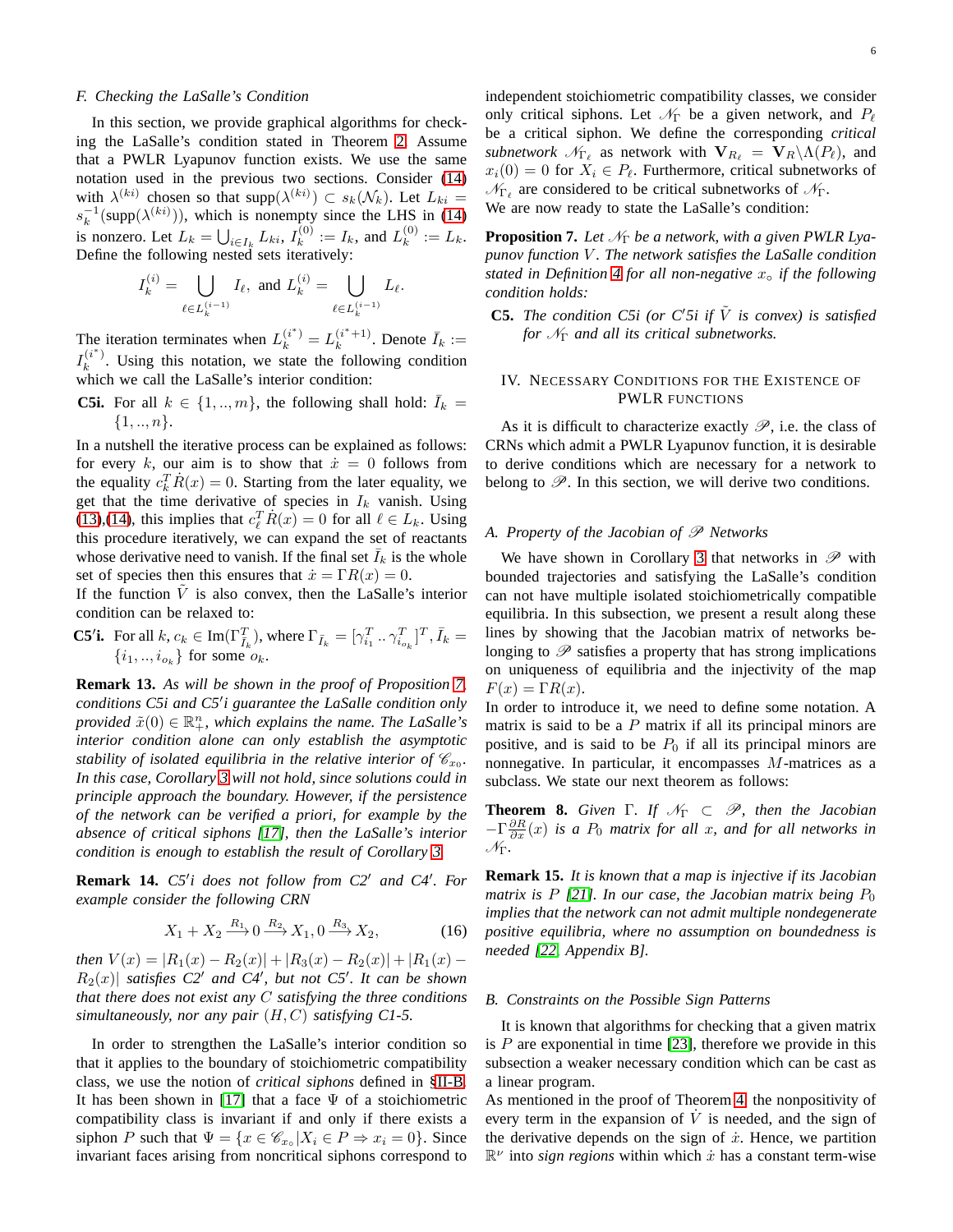#### <span id="page-5-0"></span>*F. Checking the LaSalle's Condition*

In this section, we provide graphical algorithms for checking the LaSalle's condition stated in Theorem [2.](#page-3-4) Assume that a PWLR Lyapunov function exists. We use the same notation used in the previous two sections. Consider [\(14\)](#page-4-2) with  $\lambda^{(ki)}$  chosen so that supp $(\lambda^{(ki)}) \subset s_k(\mathcal{N}_k)$ . Let  $L_{ki} =$  $s_k^{-1}(\text{supp}(\lambda^{(ki)}))$ , which is nonempty since the LHS in [\(14\)](#page-4-2) is nonzero. Let  $L_k = \bigcup_{i \in I_k} L_{ki}, I_k^{(0)}$  $I_k^{(0)} := I_k$ , and  $L_k^{(0)}$  $k^{\text{(U)}} := L_k.$ Define the following nested sets iteratively:

$$
I_k^{(i)} = \bigcup_{\ell \in L_k^{(i-1)}} I_\ell, \text{ and } L_k^{(i)} = \bigcup_{\ell \in L_k^{(i-1)}} L_\ell.
$$

The iteration terminates when  $L_k^{(i^*)} = L_k^{(i^*+1)}$  $k^{(i^*+1)}$ . Denote  $\bar{I}_k :=$  $I_k^{(i^*)}$  $k^{(i)}$ . Using this notation, we state the following condition which we call the LaSalle's interior condition:

**C5i.** For all  $k \in \{1, ..., m\}$ , the following shall hold:  $\overline{I}_k =$  $\{1, ..., n\}.$ 

In a nutshell the iterative process can be explained as follows: for every k, our aim is to show that  $\dot{x} = 0$  follows from the equality  $c_k^T \dot{R}(x) = 0$ . Starting from the later equality, we get that the time derivative of species in  $I_k$  vanish. Using [\(13\)](#page-4-3),[\(14\)](#page-4-2), this implies that  $c_{\ell}^{T} \dot{R}(x) = 0$  for all  $\ell \in L_{k}$ . Using this procedure iteratively, we can expand the set of reactants whose derivative need to vanish. If the final set  $I_k$  is the whole set of species then this ensures that  $\dot{x} = \Gamma R(x) = 0$ .

If the function  $\tilde{V}$  is also convex, then the LaSalle's interior condition can be relaxed to:

**C5<sup>′</sup>i.** For all  $k, c_k \in \text{Im}(\Gamma_{\bar{I}_k}^T)$ , where  $\Gamma_{\bar{I}_k} = [\gamma_{i_1}^T \dots \gamma_{i_{o_k}}^T]^T$ ,  $\bar{I}_k =$  $\{i_1, \ldots, i_{o_k}\}$  for some  $o_k$ .

**Remark 13.** *As will be shown in the proof of Proposition [7,](#page-5-1) conditions C5i and C5*′ *i guarantee the LaSalle condition only provided*  $\tilde{x}(0) \in \mathbb{R}^n_+$ , which explains the name. The LaSalle's *interior condition alone can only establish the asymptotic stability of isolated equilibria in the relative interior of*  $\mathscr{C}_{x_0}$ *. In this case, Corollary [3](#page-4-1) will not hold, since solutions could in principle approach the boundary. However, if the persistence of the network can be verified a priori, for example by the absence of critical siphons [\[17\]](#page-14-1), then the LaSalle's interior condition is enough to establish the result of Corollary [3.](#page-4-1)*

**Remark 14.** *C5*′ *i does not follow from C2*′ *and C4*′ *. For example consider the following CRN*

$$
X_1 + X_2 \xrightarrow{R_1} 0 \xrightarrow{R_2} X_1, 0 \xrightarrow{R_3} X_2,\tag{16}
$$

*then*  $V(x) = |R_1(x) - R_2(x)| + |R_3(x) - R_2(x)| + |R_1(x) - R_3(x)|$  $R_2(x)$  *satisfies C2' and C4'*, *but not C5'*. It can be shown *that there does not exist any* C *satisfying the three conditions simultaneously, nor any pair* (H, C) *satisfying C1-5.*

In order to strengthen the LaSalle's interior condition so that it applies to the boundary of stoichiometric compatibility class, we use the notion of *critical siphons* defined in [§II-B.](#page-2-2) It has been shown in [\[17\]](#page-14-1) that a face  $\Psi$  of a stoichiometric compatibility class is invariant if and only if there exists a siphon P such that  $\Psi = \{x \in \mathcal{C}_{x} | X_i \in P \Rightarrow x_i = 0\}$ . Since invariant faces arising from noncritical siphons correspond to independent stoichiometric compatibility classes, we consider only critical siphons. Let  $\mathcal{N}_{\Gamma}$  be a given network, and  $P_{\ell}$ be a critical siphon. We define the corresponding *critical subnetwork*  $\mathcal{N}_{\Gamma_{\ell}}$  as network with  $\mathbf{V}_{R_{\ell}} = \mathbf{V}_{R} \backslash \Lambda(P_{\ell})$ , and  $x_i(0) = 0$  for  $X_i \in P_\ell$ . Furthermore, critical subnetworks of  $\mathcal{N}_{\Gamma_\ell}$  are considered to be critical subnetworks of  $\mathcal{N}_{\Gamma}$ . We are now ready to state the LaSalle's condition:

<span id="page-5-1"></span>**Proposition 7.** Let  $\mathcal{N}_{\Gamma}$  be a network, with a given PWLR Lya*punov function* V *. The network satisfies the LaSalle condition stated in Definition [4](#page-3-5) for all non-negative* x◦ *if the following condition holds:*

**C5.** *The condition C5i (or C'5i if*  $\tilde{V}$  *is convex) is satisfied for* N<sup>Γ</sup> *and all its critical subnetworks.*

## IV. NECESSARY CONDITIONS FOR THE EXISTENCE OF PWLR FUNCTIONS

As it is difficult to characterize exactly  $\mathscr{P}$ , i.e. the class of CRNs which admit a PWLR Lyapunov function, it is desirable to derive conditions which are necessary for a network to belong to  $\mathscr{P}$ . In this section, we will derive two conditions.

## *A. Property of the Jacobian of*  $\mathscr P$  *Networks*

We have shown in Corollary [3](#page-4-1) that networks in  $\mathscr P$  with bounded trajectories and satisfying the LaSalle's condition can not have multiple isolated stoichiometrically compatible equilibria. In this subsection, we present a result along these lines by showing that the Jacobian matrix of networks belonging to  $\mathscr P$  satisfies a property that has strong implications on uniqueness of equilibria and the injectivity of the map  $F(x) = \Gamma R(x)$ .

In order to introduce it, we need to define some notation. A matrix is said to be a  $P$  matrix if all its principal minors are positive, and is said to be  $P_0$  if all its principal minors are nonnegative. In particular, it encompasses M-matrices as a subclass. We state our next theorem as follows:

<span id="page-5-2"></span>**Theorem 8.** *Given*  $\Gamma$ *. If*  $\mathcal{N}_{\Gamma} \subset \mathcal{P}$ *, then the Jacobian*  $-\Gamma \frac{\partial R}{\partial x}(x)$  *is a*  $P_0$  *matrix for all x, and for all networks in* NΓ*.*

**Remark 15.** *It is known that a map is injective if its Jacobian matrix is*  $P$  [\[21\]](#page-14-5)*. In our case, the Jacobian matrix being*  $P_0$ *implies that the network can not admit multiple nondegenerate positive equilibria, where no assumption on boundedness is needed [\[22,](#page-14-6) Appendix B].*

#### *B. Constraints on the Possible Sign Patterns*

It is known that algorithms for checking that a given matrix is  $P$  are exponential in time [\[23\]](#page-14-7), therefore we provide in this subsection a weaker necessary condition which can be cast as a linear program.

As mentioned in the proof of Theorem [4,](#page-4-4) the nonpositivity of every term in the expansion of  $\dot{V}$  is needed, and the sign of the derivative depends on the sign of  $\dot{x}$ . Hence, we partition  $\mathbb{R}^{\nu}$  into *sign regions* within which  $\dot{x}$  has a constant term-wise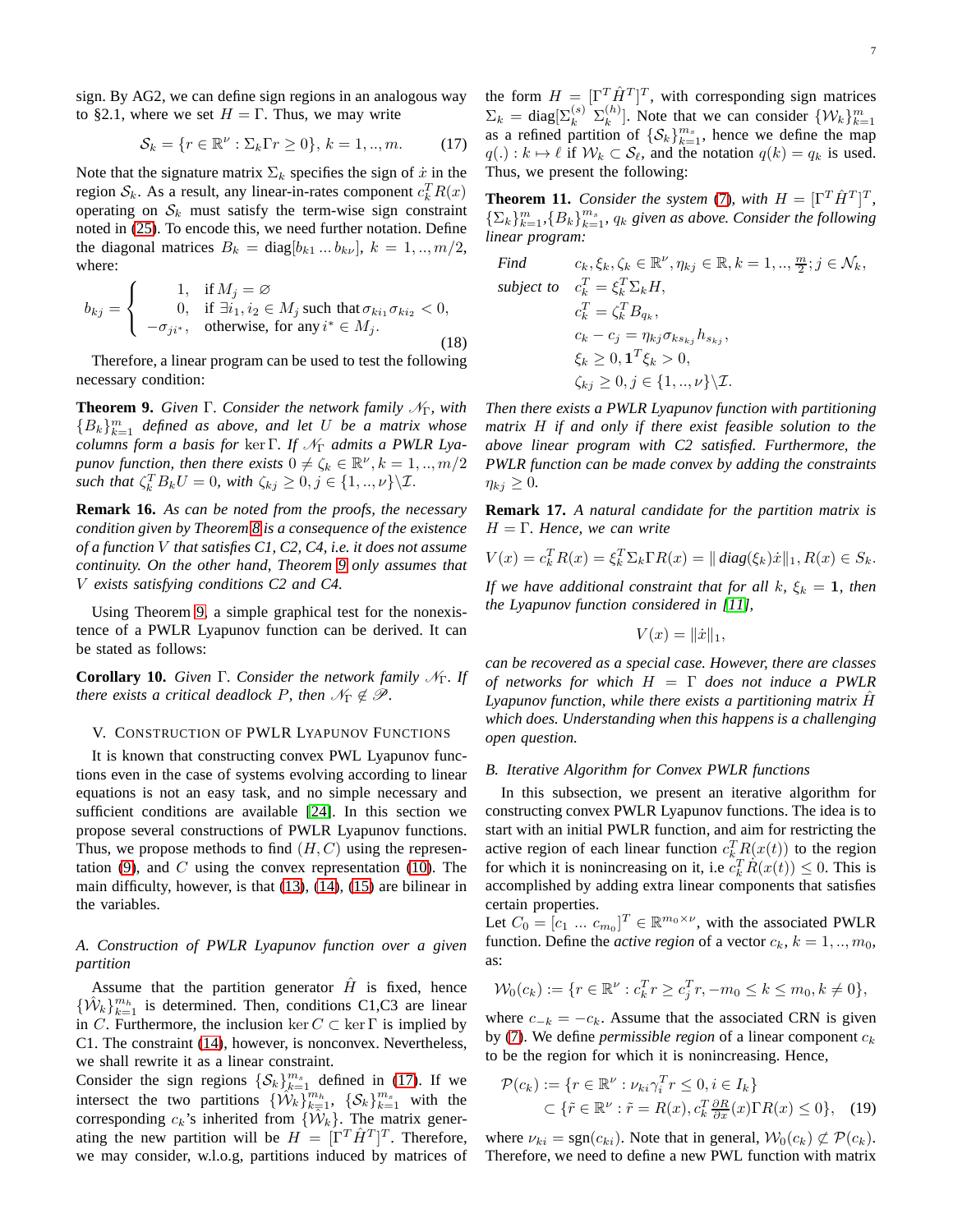sign. By AG2, we can define sign regions in an analogous way to §2.1, where we set  $H = \Gamma$ . Thus, we may write

$$
\mathcal{S}_k = \{r \in \mathbb{R}^\nu : \Sigma_k \Gamma r \ge 0\}, \, k = 1, \dots, m. \tag{17}
$$

Note that the signature matrix  $\Sigma_k$  specifies the sign of  $\dot{x}$  in the region  $S_k$ . As a result, any linear-in-rates component  $c_k^T R(x)$ operating on  $S_k$  must satisfy the term-wise sign constraint noted in [\(25\)](#page-11-0). To encode this, we need further notation. Define the diagonal matrices  $B_k = \text{diag}[b_{k1} \dots b_{kv}], k = 1, ..., m/2,$ where:

$$
b_{kj} = \begin{cases} 1, & \text{if } M_j = \varnothing \\ 0, & \text{if } \exists i_1, i_2 \in M_j \text{ such that } \sigma_{ki_1} \sigma_{ki_2} < 0, \\ -\sigma_{ji^*}, & \text{otherwise, for any } i^* \in M_j. \end{cases}
$$
\n
$$
(18)
$$

<span id="page-6-0"></span>Therefore, a linear program can be used to test the following necessary condition:

**Theorem 9.** *Given* Γ. *Consider the network family*  $N<sub>Γ</sub>$ *, with*  ${B_k}_{k=1}^m$  *defined as above, and let* U *be a matrix whose columns form a basis for ker Γ. If*  $\mathcal{N}_{\Gamma}$  *admits a PWLR Lyapunov function, then there exists*  $0 \neq \zeta_k \in \mathbb{R}^{\nu}, k = 1, ..., m/2$ *such that*  $\zeta_k^T B_k U = 0$ *, with*  $\zeta_{kj} \geq 0, j \in \{1, ..., \nu\} \setminus \mathcal{I}$ .

**Remark 16.** *As can be noted from the proofs, the necessary condition given by Theorem [8](#page-5-2) is a consequence of the existence of a function* V *that satisfies C1, C2, C4, i.e. it does not assume continuity. On the other hand, Theorem [9](#page-6-0) only assumes that* V *exists satisfying conditions C2 and C4.*

Using Theorem [9,](#page-6-0) a simple graphical test for the nonexistence of a PWLR Lyapunov function can be derived. It can be stated as follows:

<span id="page-6-4"></span>**Corollary 10.** *Given* Γ. *Consider the network family*  $N<sub>Γ</sub>$ *. If there exists a critical deadlock P, then*  $\mathcal{N}_{\Gamma} \notin \mathcal{P}$ *.* 

#### V. CONSTRUCTION OF PWLR LYAPUNOV FUNCTIONS

It is known that constructing convex PWL Lyapunov functions even in the case of systems evolving according to linear equations is not an easy task, and no simple necessary and sufficient conditions are available [\[24\]](#page-14-8). In this section we propose several constructions of PWLR Lyapunov functions. Thus, we propose methods to find  $(H, C)$  using the representation  $(9)$ , and C using the convex representation  $(10)$ . The main difficulty, however, is that [\(13\)](#page-4-3), [\(14\)](#page-4-2), [\(15\)](#page-4-5) are bilinear in the variables.

## <span id="page-6-3"></span>*A. Construction of PWLR Lyapunov function over a given partition*

Assume that the partition generator  $H$  is fixed, hence  $\{\hat{W}_k\}_{k=1}^{m_h}$  is determined. Then, conditions C1,C3 are linear in C. Furthermore, the inclusion ker  $C \subset \text{ker } \Gamma$  is implied by C1. The constraint [\(14\)](#page-4-2), however, is nonconvex. Nevertheless, we shall rewrite it as a linear constraint.

Consider the sign regions  $\{\mathcal{S}_k\}_{k=1}^{m_s}$  defined in [\(17\)](#page-6-1). If we intersect the two partitions  $\{\hat{W}_k\}_{k=1}^{m_h}$ ,  $\{\mathcal{S}_k\}_{k=1}^{m_s}$  with the corresponding  $c_k$ 's inherited from  $\{\hat{\mathcal{W}}_k\}$ . The matrix generating the new partition will be  $H = [\Gamma^T \hat{H}^T]^T$ . Therefore, we may consider, w.l.o.g, partitions induced by matrices of

<span id="page-6-1"></span>the form  $H = [\Gamma^T \hat{H}^T]^T$ , with corresponding sign matrices  $\Sigma_k = \text{diag}[\Sigma_k^{(s)} \ \Sigma_k^{(h)}]$  $\binom{h}{k}$ . Note that we can consider  $\{\mathcal{W}_k\}_{k=1}^m$ as a refined partition of  $\{\mathcal{S}_k\}_{k=1}^{m_s}$ , hence we define the map  $q(.) : k \mapsto \ell$  if  $W_k \subset \mathcal{S}_{\ell}$ , and the notation  $q(k) = q_k$  is used. Thus, we present the following:

<span id="page-6-2"></span>**Theorem 11.** *Consider the system* [\(7\)](#page-2-0), with  $H = [\Gamma^T \hat{H}^T]^T$ ,  $\{\sum_k\}_{k=1}^m$ ,  $\{B_k\}_{k=1}^{m_s}$ ,  $q_k$  given as above. Consider the following *linear program:*

Find 
$$
c_k, \xi_k, \zeta_k \in \mathbb{R}^{\nu}, \eta_{kj} \in \mathbb{R}, k = 1, ..., \frac{m}{2}; j \in \mathcal{N}_k,
$$
  
subject to 
$$
c_k^T = \xi_k^T \Sigma_k H,
$$

$$
c_k^T = \zeta_k^T B_{q_k},
$$

$$
c_k - c_j = \eta_{kj} \sigma_{ks_{kj}} h_{s_{kj}},
$$

$$
\xi_k \ge 0, \mathbf{1}^T \xi_k > 0,
$$

$$
\zeta_{kj} \ge 0, j \in \{1, ..., \nu\} \setminus \mathcal{I}.
$$

*Then there exists a PWLR Lyapunov function with partitioning matrix* H *if and only if there exist feasible solution to the above linear program with C2 satisfied. Furthermore, the PWLR function can be made convex by adding the constraints*  $\eta_{ki} \geq 0$ .

**Remark 17.** *A natural candidate for the partition matrix is* H = Γ*. Hence, we can write*

$$
V(x) = c_k^T R(x) = \xi_k^T \Sigma_k \Gamma R(x) = ||diag(\xi_k)\dot{x}||_1, R(x) \in S_k.
$$

*If we have additional constraint that for all k,*  $\xi_k = 1$ *, then the Lyapunov function considered in [\[11\]](#page-13-10),*

$$
V(x) = ||\dot{x}||_1,
$$

*can be recovered as a special case. However, there are classes of networks for which* H = Γ *does not induce a PWLR Lyapunov function, while there exists a partitioning matrix* Hˆ *which does. Understanding when this happens is a challenging open question.*

## *B. Iterative Algorithm for Convex PWLR functions*

In this subsection, we present an iterative algorithm for constructing convex PWLR Lyapunov functions. The idea is to start with an initial PWLR function, and aim for restricting the active region of each linear function  $c_k^T R(x(t))$  to the region for which it is nonincreasing on it, i.e  $c_k^T \dot{R}(x(t)) \le 0$ . This is accomplished by adding extra linear components that satisfies certain properties.

Let  $C_0 = [c_1 \dots c_{m_0}]^T \in \mathbb{R}^{m_0 \times \nu}$ , with the associated PWLR function. Define the *active region* of a vector  $c_k$ ,  $k = 1, ..., m_0$ , as:

$$
\mathcal{W}_0(c_k) := \{ r \in \mathbb{R}^{\nu} : c_k^T r \ge c_j^T r, -m_0 \le k \le m_0, k \ne 0 \},\
$$

where  $c_{-k} = -c_k$ . Assume that the associated CRN is given by [\(7\)](#page-2-0). We define *permissible region* of a linear component  $c_k$ to be the region for which it is nonincreasing. Hence,

$$
\mathcal{P}(c_k) := \{r \in \mathbb{R}^{\nu} : \nu_{ki}\gamma_i^T r \le 0, i \in I_k\}
$$
  

$$
\subset \{\tilde{r} \in \mathbb{R}^{\nu} : \tilde{r} = R(x), c_k^T \frac{\partial R}{\partial x}(x)\Gamma R(x) \le 0\}, \quad (19)
$$

where  $\nu_{ki} = \text{sgn}(c_{ki})$ . Note that in general,  $W_0(c_k) \not\subset \mathcal{P}(c_k)$ . Therefore, we need to define a new PWL function with matrix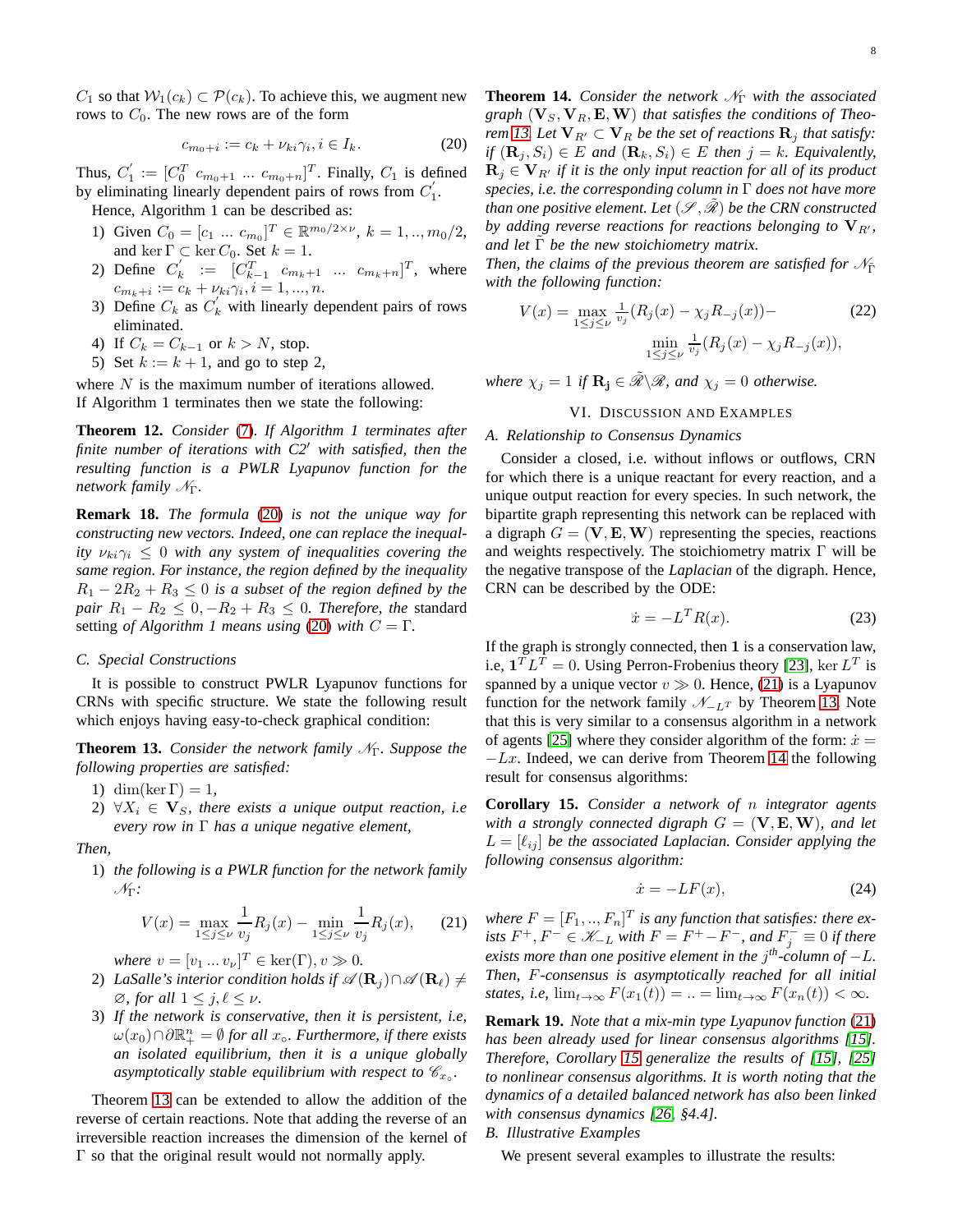$C_1$  so that  $W_1(c_k) \subset \mathcal{P}(c_k)$ . To achieve this, we augment new rows to  $C_0$ . The new rows are of the form

$$
c_{m_0+i} := c_k + \nu_{ki}\gamma_i, i \in I_k. \tag{20}
$$

Thus,  $C_1'$  $C_1' := [C_0^T \ c_{m_0+1} \ ... \ c_{m_0+n}]^T$ . Finally,  $C_1$  is defined by eliminating linearly dependent pairs of rows from  $C_1'$  $\frac{1}{1}$ .

Hence, Algorithm 1 can be described as:

- 1) Given  $C_0 = [c_1 \dots c_{m_0}]^T \in \mathbb{R}^{m_0/2 \times \nu}, k = 1, ..., m_0/2,$ and ker  $\Gamma \subset \text{ker } C_0$ . Set  $k = 1$ .
- 2) Define  $C'_{k}$  $k' := [C_{k-1}^T \ c_{m_k+1} \ ... \ c_{m_k+n}]^T$ , where  $c_{m_k+i} := c_k + \nu_{ki}\gamma_i, i = 1, ..., n.$
- 3) Define  $C_k$  as  $C'_k$  with linearly dependent pairs of rows eliminated.
- 4) If  $C_k = C_{k-1}$  or  $k > N$ , stop.
- 5) Set  $k := k + 1$ , and go to step 2,

<span id="page-7-5"></span>where  $N$  is the maximum number of iterations allowed. If Algorithm 1 terminates then we state the following:

**Theorem 12.** *Consider* [\(7\)](#page-2-0)*. If Algorithm 1 terminates after finite number of iterations with C2*′ *with satisfied, then the resulting function is a PWLR Lyapunov function for the network family*  $N<sub>Γ</sub>$ *.* 

**Remark 18.** *The formula* [\(20\)](#page-7-0) *is not the unique way for constructing new vectors. Indeed, one can replace the inequality*  $\nu_{ki}\gamma_i \leq 0$  *with any system of inequalities covering the same region. For instance, the region defined by the inequality*  $R_1 - 2R_2 + R_3 \leq 0$  *is a subset of the region defined by the pair*  $R_1 - R_2 \leq 0$ ,  $-R_2 + R_3 \leq 0$ *. Therefore, the* standard setting *of Algorithm 1 means using* [\(20\)](#page-7-0) *with*  $C = \Gamma$ .

#### *C. Special Constructions*

It is possible to construct PWLR Lyapunov functions for CRNs with specific structure. We state the following result which enjoys having easy-to-check graphical condition:

<span id="page-7-1"></span>**Theorem 13.** *Consider the network family*  $N<sub>Γ</sub>$ *. Suppose the following properties are satisfied:*

- 1) dim(ker  $\Gamma$ ) = 1,
- 2)  $\forall X_i \in \mathbf{V}_S$ , there exists a unique output reaction, i.e *every row in* Γ *has a unique negative element,*

*Then,*

1) *the following is a PWLR function for the network family* NΓ*:*

$$
V(x) = \max_{1 \le j \le \nu} \frac{1}{v_j} R_j(x) - \min_{1 \le j \le \nu} \frac{1}{v_j} R_j(x), \quad (21)
$$

*where*  $v = [v_1 ... v_{\nu}]^T \in \text{ker}(\Gamma), v \gg 0.$ 

- 2) *LaSalle's interior condition holds if*  $\mathscr{A}(\mathbf{R}_i) \cap \mathscr{A}(\mathbf{R}_\ell) \neq$  $\emptyset$ *, for all*  $1 \leq j, \ell \leq \nu$ *.*
- 3) *If the network is conservative, then it is persistent, i.e,*  $\omega(x_0) \cap \partial \mathbb{R}^n_+ = \emptyset$  for all  $x_\circ$ *. Furthermore, if there exists an isolated equilibrium, then it is a unique globally* asymptotically stable equilibrium with respect to  $\mathscr{C}_{x\circ}$ .

<span id="page-7-3"></span>Theorem [13](#page-7-1) can be extended to allow the addition of the reverse of certain reactions. Note that adding the reverse of an irreversible reaction increases the dimension of the kernel of  $Γ$  so that the original result would not normally apply.

<span id="page-7-0"></span>**Theorem 14.** *Consider the network*  $\mathcal{N}_{\Gamma}$  *with the associated*  $graph \left(\mathbf{V}_S, \mathbf{V}_R, \mathbf{E}, \mathbf{W}\right)$  *that satisfies the conditions of Theo-rem [13.](#page-7-1) Let*  $V_{R'} \subset V_R$  *be the set of reactions*  $R_i$  *that satisfy: if*  $(\mathbf{R}_j, S_i) \in E$  *and*  $(\mathbf{R}_k, S_i) \in E$  *then*  $j = k$ *. Equivalently,*  $\mathbf{R}_j \in \mathbf{V}_{R'}$  *if it is the only input reaction for all of its product species, i.e. the corresponding column in* Γ *does not have more than one positive element. Let*  $(\mathscr{S}, \tilde{\mathscr{R}})$  *be the CRN constructed by adding reverse reactions for reactions belonging to*  $V_{R'}$ , *and let* Γ˜ *be the new stoichiometry matrix.*

*Then, the claims of the previous theorem are satisfied for*  $\mathcal{N}_{\tilde{\Gamma}}$ *with the following function:*

$$
V(x) = \max_{1 \le j \le \nu} \frac{1}{v_j} (R_j(x) - \chi_j R_{-j}(x)) -
$$
  

$$
\min_{1 \le j \le \nu} \frac{1}{v_j} (R_j(x) - \chi_j R_{-j}(x)),
$$
 (22)

*where*  $\chi_j = 1$  *if*  $\mathbf{R}_j \in \mathcal{R} \backslash \mathcal{R}$ *, and*  $\chi_j = 0$  *otherwise.* 

## VI. DISCUSSION AND EXAMPLES

#### *A. Relationship to Consensus Dynamics*

Consider a closed, i.e. without inflows or outflows, CRN for which there is a unique reactant for every reaction, and a unique output reaction for every species. In such network, the bipartite graph representing this network can be replaced with a digraph  $G = (\mathbf{V}, \mathbf{E}, \mathbf{W})$  representing the species, reactions and weights respectively. The stoichiometry matrix  $\Gamma$  will be the negative transpose of the *Laplacian* of the digraph. Hence, CRN can be described by the ODE:

$$
\dot{x} = -L^T R(x). \tag{23}
$$

If the graph is strongly connected, then 1 is a conservation law, i.e,  $\mathbf{1}^T L^T = 0$ . Using Perron-Frobenius theory [\[23\]](#page-14-7), ker  $L^T$  is spanned by a unique vector  $v \gg 0$ . Hence, [\(21\)](#page-7-2) is a Lyapunov function for the network family  $\mathcal{N}_{-L}$  by Theorem [13.](#page-7-1) Note that this is very similar to a consensus algorithm in a network of agents [\[25\]](#page-14-9) where they consider algorithm of the form:  $\dot{x} =$  $-Lx$ . Indeed, we can derive from Theorem [14](#page-7-3) the following result for consensus algorithms:

<span id="page-7-4"></span>**Corollary 15.** *Consider a network of* n *integrator agents with a strongly connected digraph*  $G = (\mathbf{V}, \mathbf{E}, \mathbf{W})$ *, and let*  $L = [\ell_{ij}]$  be the associated Laplacian. Consider applying the *following consensus algorithm:*

$$
\dot{x} = -LF(x),\tag{24}
$$

<span id="page-7-2"></span>where  $F = [F_1, ..., F_n]^T$  is any function that satisfies: there ex*ists*  $F^+$ ,  $F^- \in \mathcal{K}_{-L}$  *with*  $F = F^+ - F^-$ *, and*  $F_j^- \equiv 0$  *if there exists more than one positive element in the* j *th-column of* −L*. Then,* F*-consensus is asymptotically reached for all initial states, i.e,*  $\lim_{t\to\infty} F(x_1(t)) = ... = \lim_{t\to\infty} F(x_n(t)) < \infty$ .

**Remark 19.** *Note that a mix-min type Lyapunov function* [\(21\)](#page-7-2) *has been already used for linear consensus algorithms [\[15\]](#page-13-14). Therefore, Corollary [15](#page-7-4) generalize the results of [\[15\]](#page-13-14), [\[25\]](#page-14-9) to nonlinear consensus algorithms. It is worth noting that the dynamics of a detailed balanced network has also been linked with consensus dynamics [\[26,](#page-14-10) §4.4].*

## *B. Illustrative Examples*

We present several examples to illustrate the results: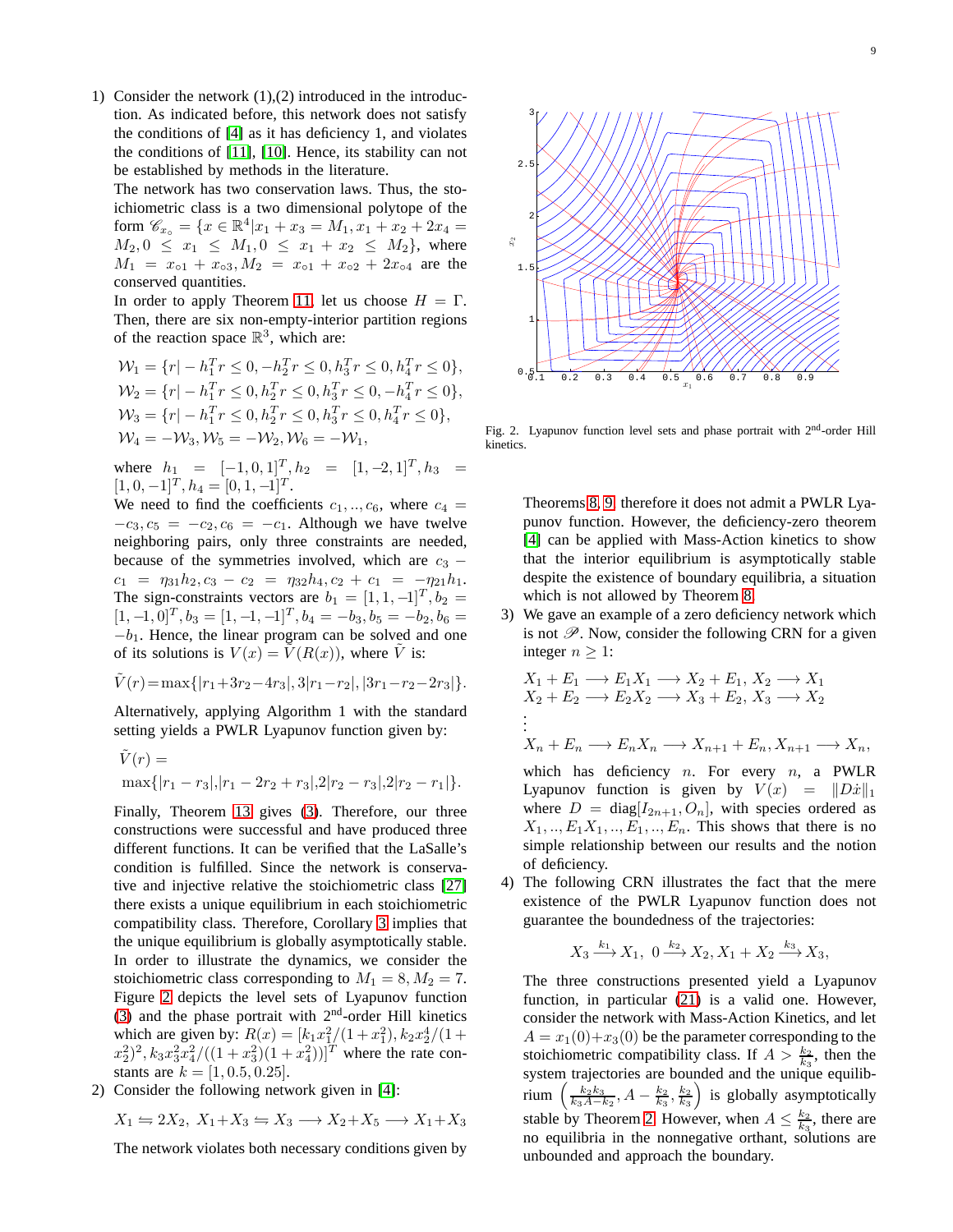1) Consider the network  $(1)$ , $(2)$  introduced in the introduction. As indicated before, this network does not satisfy the conditions of [\[4\]](#page-13-3) as it has deficiency 1, and violates the conditions of [\[11\]](#page-13-10), [\[10\]](#page-13-9). Hence, its stability can not be established by methods in the literature.

The network has two conservation laws. Thus, the stoichiometric class is a two dimensional polytope of the form  $\mathscr{C}_{x_0} = \{x \in \mathbb{R}^4 | x_1 + x_3 = M_1, x_1 + x_2 + 2x_4 = 1\}$  $M_2, 0 \le x_1 \le M_1, 0 \le x_1 + x_2 \le M_2$ , where  $M_1 = x_{\circ 1} + x_{\circ 3}, M_2 = x_{\circ 1} + x_{\circ 2} + 2x_{\circ 4}$  are the conserved quantities.

In order to apply Theorem [11,](#page-6-2) let us choose  $H = \Gamma$ . Then, there are six non-empty-interior partition regions of the reaction space  $\mathbb{R}^3$ , which are:

$$
\mathcal{W}_1 = \{r | -h_1^T r \le 0, -h_2^T r \le 0, h_3^T r \le 0, h_4^T r \le 0\},
$$
  
\n
$$
\mathcal{W}_2 = \{r | -h_1^T r \le 0, h_2^T r \le 0, h_3^T r \le 0, -h_4^T r \le 0\},
$$
  
\n
$$
\mathcal{W}_3 = \{r | -h_1^T r \le 0, h_2^T r \le 0, h_3^T r \le 0, h_4^T r \le 0\},
$$
  
\n
$$
\mathcal{W}_4 = -\mathcal{W}_3, \mathcal{W}_5 = -\mathcal{W}_2, \mathcal{W}_6 = -\mathcal{W}_1,
$$

where  $h_1 = [-1, 0, 1]^T$ ,  $h_2 = [1, -2, 1]^T$ ,  $h_3 =$  $[1, 0, -1]^T$ ,  $h_4 = [0, 1, -1]^T$ .

We need to find the coefficients  $c_1, \ldots, c_6$ , where  $c_4 =$  $-c_3$ ,  $c_5 = -c_2$ ,  $c_6 = -c_1$ . Although we have twelve neighboring pairs, only three constraints are needed, because of the symmetries involved, which are  $c_3$  −  $c_1 = \eta_{31}h_2$ ,  $c_3 - c_2 = \eta_{32}h_4$ ,  $c_2 + c_1 = -\eta_{21}h_1$ . The sign-constraints vectors are  $b_1 = [1, 1, -1]^T$ ,  $b_2 =$  $[1, -1, 0]^T$ ,  $b_3 = [1, -1, -1]^T$ ,  $b_4 = -b_3$ ,  $b_5 = -b_2$ ,  $b_6 =$  $-b_1$ . Hence, the linear program can be solved and one of its solutions is  $V(x) = V(R(x))$ , where V is:

$$
\tilde{V}(r) = \max\{|r_1 + 3r_2 - 4r_3|, 3|r_1 - r_2|, |3r_1 - r_2 - 2r_3|\}.
$$

Alternatively, applying Algorithm 1 with the standard setting yields a PWLR Lyapunov function given by:

$$
\tilde{V}(r) = \max\{|r_1 - r_3|, |r_1 - 2r_2 + r_3|, 2|r_2 - r_3|, 2|r_2 - r_1|\}.
$$

Finally, Theorem [13](#page-7-1) gives [\(3\)](#page-1-0). Therefore, our three constructions were successful and have produced three different functions. It can be verified that the LaSalle's condition is fulfilled. Since the network is conservative and injective relative the stoichiometric class [\[27\]](#page-14-11) there exists a unique equilibrium in each stoichiometric compatibility class. Therefore, Corollary [3](#page-4-1) implies that the unique equilibrium is globally asymptotically stable. In order to illustrate the dynamics, we consider the stoichiometric class corresponding to  $M_1 = 8, M_2 = 7$ . Figure [2](#page-8-0) depicts the level sets of Lyapunov function [\(3\)](#page-1-0) and the phase portrait with  $2<sup>nd</sup>$ -order Hill kinetics which are given by:  $R(x) = [k_1 x_1^2/(1 + x_1^2), k_2 x_2^4/(1 + x_1^2)]$  $(x_2^2)^2$ ,  $k_3x_3^2x_4^2/((1+x_3^2)(1+x_4^2))]^T$  where the rate constants are  $k = [1, 0.5, 0.25]$ .

2) Consider the following network given in [\[4\]](#page-13-3):

$$
X_1 \Leftrightarrow 2X_2, \ X_1 + X_3 \Leftrightarrow X_3 \longrightarrow X_2 + X_5 \longrightarrow X_1 + X_3
$$

The network violates both necessary conditions given by



<span id="page-8-0"></span>Fig. 2. Lyapunov function level sets and phase portrait with 2<sup>nd</sup>-order Hill kinetics.

Theorems [8,](#page-5-2) [9,](#page-6-0) therefore it does not admit a PWLR Lyapunov function. However, the deficiency-zero theorem [\[4\]](#page-13-3) can be applied with Mass-Action kinetics to show that the interior equilibrium is asymptotically stable despite the existence of boundary equilibria, a situation which is not allowed by Theorem [8.](#page-5-2)

3) We gave an example of a zero deficiency network which is not  $\mathscr{P}$ . Now, consider the following CRN for a given integer  $n \geq 1$ :

$$
X_1 + E_1 \longrightarrow E_1 X_1 \longrightarrow X_2 + E_1, X_2 \longrightarrow X_1
$$
  
\n
$$
X_2 + E_2 \longrightarrow E_2 X_2 \longrightarrow X_3 + E_2, X_3 \longrightarrow X_2
$$
  
\n
$$
\vdots
$$
  
\n
$$
X_n + E_n \longrightarrow E_n X_n \longrightarrow X_{n+1} + E_n, X_{n+1} \longrightarrow X_n,
$$
  
\nwhich has deficiency *n*. For every *n*, a PWLR  
\nLyapunov function is given by  $V(x) = ||D\dot{x}||_1$   
\nwhere  $D = \text{diag}[I_{2n+1}, O_n]$ , with species ordered as  
\n $X_1, ..., E_1 X_1, ..., E_1, ..., E_n$ . This shows that there is no  
\nsimple relationship between our results and the notion

of deficiency. 4) The following CRN illustrates the fact that the mere existence of the PWLR Lyapunov function does not guarantee the boundedness of the trajectories:

$$
X_3 \xrightarrow{k_1} X_1, \ 0 \xrightarrow{k_2} X_2, X_1 + X_2 \xrightarrow{k_3} X_3,
$$

The three constructions presented yield a Lyapunov function, in particular [\(21\)](#page-7-2) is a valid one. However, consider the network with Mass-Action Kinetics, and let  $A = x_1(0) + x_3(0)$  be the parameter corresponding to the stoichiometric compatibility class. If  $A > \frac{k_2}{k_3}$ , then the system trajectories are bounded and the unique equilibrium  $\left(\frac{k_2k_3}{k_3A-k_2}, A - \frac{k_2}{k_3}, \frac{k_2}{k_3}\right)$  is globally asymptotically stable by Theorem [2.](#page-3-4) However, when  $A \leq \frac{k_2}{k_3}$ , there are no equilibria in the nonnegative orthant, solutions are unbounded and approach the boundary.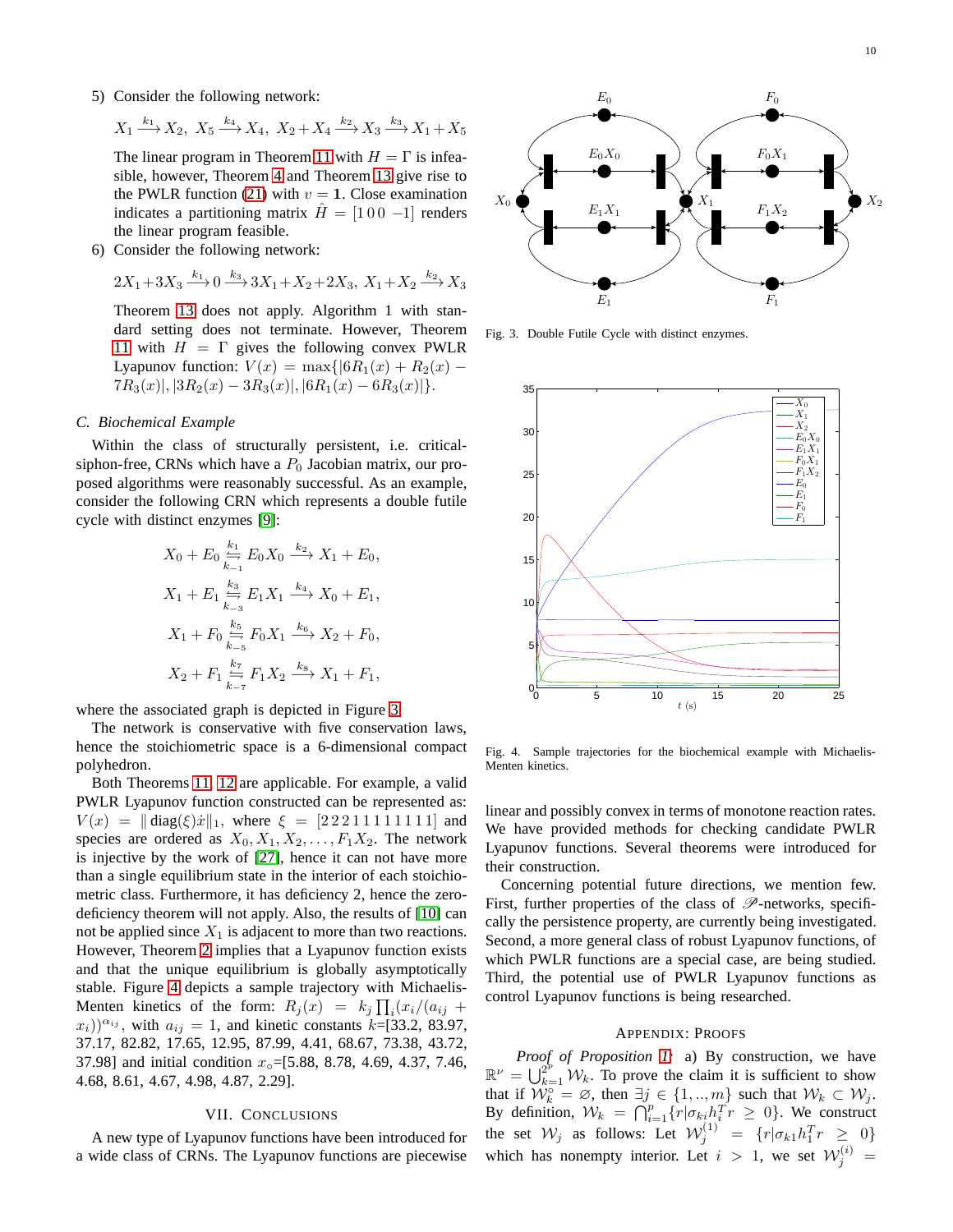5) Consider the following network:

$$
X_1 \xrightarrow{k_1} X_2, \ X_5 \xrightarrow{k_4} X_4, \ X_2 + X_4 \xrightarrow{k_2} X_3 \xrightarrow{k_3} X_1 + X_5
$$

The linear program in Theorem [11](#page-6-2) with  $H = \Gamma$  is infeasible, however, Theorem [4](#page-4-4) and Theorem [13](#page-7-1) give rise to the PWLR function [\(21\)](#page-7-2) with  $v = 1$ . Close examination indicates a partitioning matrix  $\hat{H} = \begin{bmatrix} 1 & 0 & 0 & -1 \end{bmatrix}$  renders the linear program feasible.

6) Consider the following network:

$$
2X_1 + 3X_3 \xrightarrow{k_1} 0 \xrightarrow{k_3} 3X_1 + X_2 + 2X_3, X_1 + X_2 \xrightarrow{k_2} X_3
$$

Theorem [13](#page-7-1) does not apply. Algorithm 1 with standard setting does not terminate. However, Theorem [11](#page-6-2) with  $H = \Gamma$  gives the following convex PWLR Lyapunov function:  $V(x) = \max\{|6R_1(x) + R_2(x) 7R_3(x)|, |3R_2(x) - 3R_3(x)|, |6R_1(x) - 6R_3(x)|\}.$ 

## *C. Biochemical Example*

Within the class of structurally persistent, i.e. criticalsiphon-free, CRNs which have a  $P_0$  Jacobian matrix, our proposed algorithms were reasonably successful. As an example, consider the following CRN which represents a double futile cycle with distinct enzymes [\[9\]](#page-13-8):

$$
X_0 + E_0 \sum_{k=1}^{k_1} E_0 X_0 \xrightarrow{k_2} X_1 + E_0,
$$
  
\n
$$
X_1 + E_1 \sum_{k=3}^{k_3} E_1 X_1 \xrightarrow{k_4} X_0 + E_1,
$$
  
\n
$$
X_1 + F_0 \sum_{k=5}^{k_5} F_0 X_1 \xrightarrow{k_6} X_2 + F_0,
$$
  
\n
$$
X_2 + F_1 \sum_{k=7}^{k_7} F_1 X_2 \xrightarrow{k_8} X_1 + F_1,
$$

where the associated graph is depicted in Figure [3.](#page-9-0)

The network is conservative with five conservation laws, hence the stoichiometric space is a 6-dimensional compact polyhedron.

Both Theorems [11,](#page-6-2) [12](#page-7-5) are applicable. For example, a valid PWLR Lyapunov function constructed can be represented as:  $V(x) = \|\text{diag}(\xi)\dot{x}\|_1$ , where  $\xi = [2 2 2 1 1 1 1 1 1 1 1]$  and species are ordered as  $X_0, X_1, X_2, \ldots, F_1X_2$ . The network is injective by the work of [\[27\]](#page-14-11), hence it can not have more than a single equilibrium state in the interior of each stoichiometric class. Furthermore, it has deficiency 2, hence the zerodeficiency theorem will not apply. Also, the results of [\[10\]](#page-13-9) can not be applied since  $X_1$  is adjacent to more than two reactions. However, Theorem [2](#page-3-4) implies that a Lyapunov function exists and that the unique equilibrium is globally asymptotically stable. Figure [4](#page-9-1) depicts a sample trajectory with Michaelis-Menten kinetics of the form:  $R_j(x) = k_j \prod_i (x_i/(a_{ij} +$  $(x_i)^{\alpha_{ij}}$ , with  $a_{ij} = 1$ , and kinetic constants  $k = [33.2, 83.97,$ 37.17, 82.82, 17.65, 12.95, 87.99, 4.41, 68.67, 73.38, 43.72, 37.98] and initial condition  $x_{\circ}$ =[5.88, 8.78, 4.69, 4.37, 7.46, 4.68, 8.61, 4.67, 4.98, 4.87, 2.29].

#### VII. CONCLUSIONS

A new type of Lyapunov functions have been introduced for a wide class of CRNs. The Lyapunov functions are piecewise



Fig. 3. Double Futile Cycle with distinct enzymes.

<span id="page-9-0"></span>

<span id="page-9-1"></span>Fig. 4. Sample trajectories for the biochemical example with Michaelis-Menten kinetics.

linear and possibly convex in terms of monotone reaction rates. We have provided methods for checking candidate PWLR Lyapunov functions. Several theorems were introduced for their construction.

Concerning potential future directions, we mention few. First, further properties of the class of  $\mathscr P$ -networks, specifically the persistence property, are currently being investigated. Second, a more general class of robust Lyapunov functions, of which PWLR functions are a special case, are being studied. Third, the potential use of PWLR Lyapunov functions as control Lyapunov functions is being researched.

#### APPENDIX: PROOFS

*Proof of Proposition [1:](#page-2-3)* a) By construction, we have  $\mathbb{R}^{\nu} = \bigcup_{k=1}^{2^{\nu}} \mathcal{W}_k$ . To prove the claim it is sufficient to show that if  $\mathcal{W}_k^{\circ} = \emptyset$ , then  $\exists j \in \{1, ..., m\}$  such that  $\mathcal{W}_k \subset \mathcal{W}_j$ . By definition,  $W_k = \bigcap_{i=1}^p \{r | \sigma_{ki} h_i^T r \geq 0\}$ . We construct the set  $\mathcal{W}_j$  as follows: Let  $\mathcal{W}_j^{(1)} = \{r | \sigma_{k1} h_1^T r \geq 0\}$ which has nonempty interior. Let  $i > 1$ , we set  $\mathcal{W}_j^{(i)} =$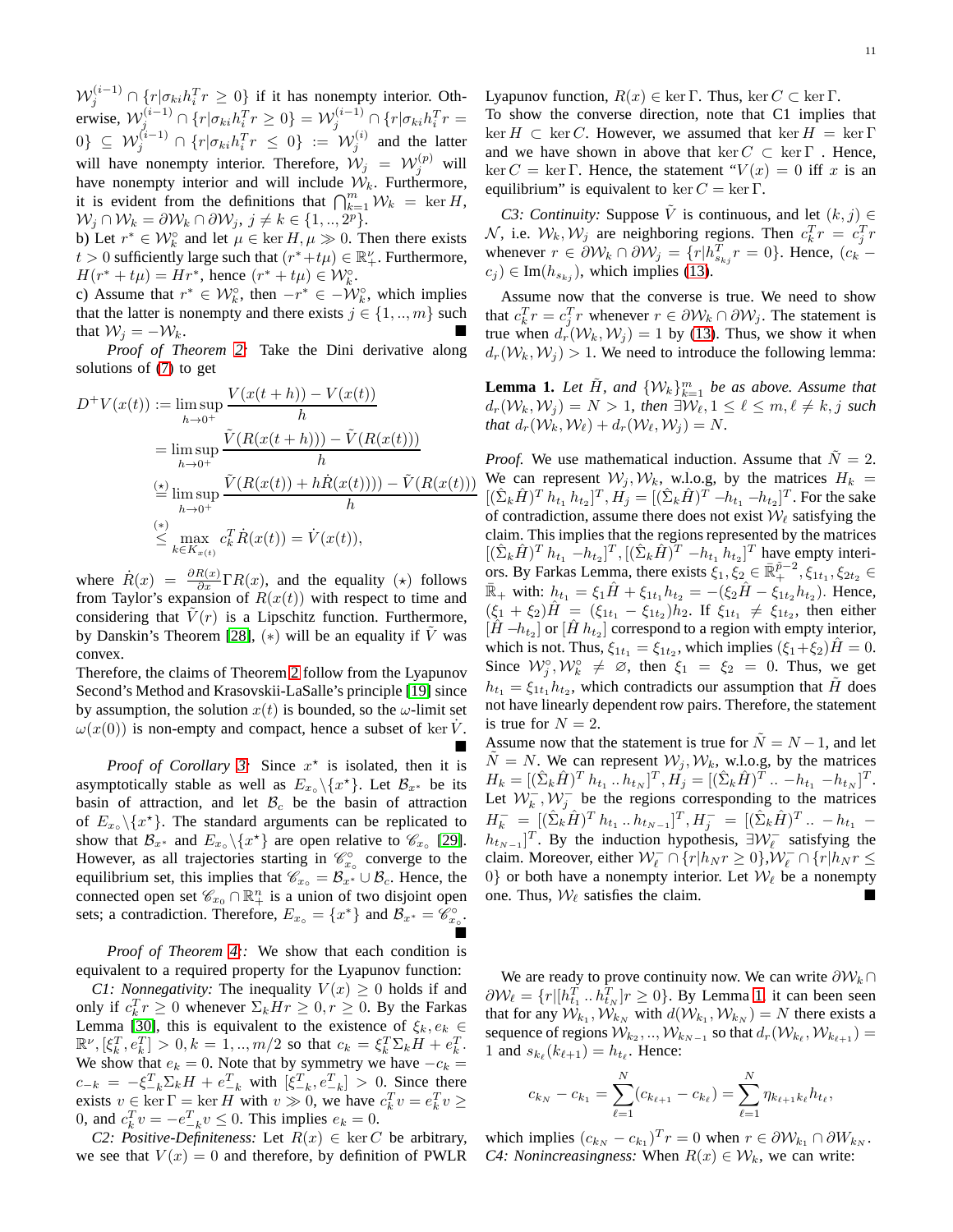$\mathcal{W}_j^{(i-1)} \cap \{r | \sigma_{ki} h_i^T r \geq 0\}$  if it has nonempty interior. Otherwise,  $\mathcal{W}^{(i-1)}_j \cap \{r | \sigma_{ki} h^T_i r \geq 0\} = \mathcal{W}^{(i-1)}_j \cap \{r | \sigma_{ki} h^T_i r = 0\}$  $\{0\} \subseteq \mathcal{W}_j^{(i-1)} \cap \{r | \sigma_{ki} h_i^T r \leq 0\} := \mathcal{W}_j^{(i)}$  and the latter will have nonempty interior. Therefore,  $W_j = W_j^{(p)}$  will have nonempty interior and will include  $W_k$ . Furthermore, it is evident from the definitions that  $\bigcap_{k=1}^m W_k = \ker H$ ,  $\mathcal{W}_j \cap \mathcal{W}_k = \partial \mathcal{W}_k \cap \partial \mathcal{W}_j, j \neq k \in \{1, ..., 2^p\}.$ 

b) Let  $r^* \in \mathcal{W}_k^{\circ}$  and let  $\mu \in \ker H, \mu \gg 0$ . Then there exists  $t > 0$  sufficiently large such that  $(r^* + t\mu) \in \mathbb{R}^{\nu}_+$ . Furthermore,  $H(r^* + t\mu) = Hr^*$ , hence  $(r^* + t\mu) \in \mathcal{W}_k^{\circ}$ .

c) Assume that  $r^* \in \mathcal{W}_k^{\circ}$ , then  $-r^* \in -\mathcal{W}_k^{\circ}$ , which implies that the latter is nonempty and there exists  $j \in \{1, ..., m\}$  such that  $W_i = -W_k$ .

*Proof of Theorem [2:](#page-3-4)* Take the Dini derivative along solutions of [\(7\)](#page-2-0) to get

$$
D^{+}V(x(t)) := \limsup_{h \to 0^{+}} \frac{V(x(t+h)) - V(x(t))}{h}
$$
  
= 
$$
\limsup_{h \to 0^{+}} \frac{\tilde{V}(R(x(t+h))) - \tilde{V}(R(x(t)))}{h}
$$
  
= 
$$
\limsup_{h \to 0^{+}} \frac{\tilde{V}(R(x(t)) + h\dot{R}(x(t))) - \tilde{V}(R(x(t)))}{h}
$$
  

$$
\leq \max_{k \in K_{x(t)}} c_{k}^{T} \dot{R}(x(t)) = \dot{V}(x(t)),
$$

where  $\dot{R}(x) = \frac{\partial R(x)}{\partial x} \Gamma R(x)$ , and the equality  $(\star)$  follows from Taylor's expansion of  $R(x(t))$  with respect to time and considering that  $V(r)$  is a Lipschitz function. Furthermore, by Danskin's Theorem [\[28\]](#page-14-12),  $(*)$  will be an equality if  $\hat{V}$  was convex.

Therefore, the claims of Theorem [2](#page-3-4) follow from the Lyapunov Second's Method and Krasovskii-LaSalle's principle [\[19\]](#page-14-3) since by assumption, the solution  $x(t)$  is bounded, so the  $\omega$ -limit set  $\omega(x(0))$  is non-empty and compact, hence a subset of ker V.  $\blacksquare$ 

*Proof of Corollary [3:](#page-4-1)* Since  $x^*$  is isolated, then it is asymptotically stable as well as  $E_{x_0} \setminus \{x^*\}$ . Let  $\mathcal{B}_{x^*}$  be its basin of attraction, and let  $B_c$  be the basin of attraction of  $E_{x}$  \{ $x^*$ }. The standard arguments can be replicated to show that  $\mathcal{B}_{x^*}$  and  $E_{x_0} \setminus \{x^*\}$  are open relative to  $\mathcal{C}_{x_0}$  [\[29\]](#page-14-13). However, as all trajectories starting in  $\mathcal{C}^{\circ}_{x_{\circ}}$  converge to the equilibrium set, this implies that  $\mathscr{C}_{x} = \mathscr{B}_{x}$ <sup>\*</sup> ∪  $\mathscr{B}_{c}$ . Hence, the connected open set  $\mathscr{C}_{x_0} \cap \mathbb{R}^n_+$  is a union of two disjoint open sets; a contradiction. Therefore,  $E_{x_0} = \{x^*\}\$  and  $\mathcal{B}_{x^*} = \mathcal{C}_{x_0}^{\circ}$ . Ď

*Proof of Theorem [4:](#page-4-4):* We show that each condition is equivalent to a required property for the Lyapunov function:

*C1: Nonnegativity:* The inequality  $V(x) \geq 0$  holds if and only if  $c_k^T r \geq 0$  whenever  $\Sigma_k H r \geq 0, r \geq 0$ . By the Farkas Lemma [\[30\]](#page-14-14), this is equivalent to the existence of  $\xi_k, e_k \in$  $\mathbb{R}^{\nu}, [\xi_{k}^{T}, e_{k}^{T}] > 0, k = 1, ..., m/2$  so that  $c_{k} = \xi_{k}^{T} \Sigma_{k} H + e_{k}^{T}$ . We show that  $e_k = 0$ . Note that by symmetry we have  $-c_k =$  $c_{-k} = -\xi_{-k}^{T} \Sigma_k H + e_{-k}^{T}$  with  $[\xi_{-k}^{T}, e_{-k}^{T}] > 0$ . Since there exists  $v \in \ker \Gamma = \ker H$  with  $v \gg 0$ , we have  $c_k^T v = e_k^T v \ge$ 0, and  $c_k^T v = -e_{-k}^T v \le 0$ . This implies  $e_k = 0$ .

*C2: Positive-Definiteness:* Let  $R(x) \in \text{ker } C$  be arbitrary, we see that  $V(x) = 0$  and therefore, by definition of PWLR Lyapunov function,  $R(x) \in \text{ker }\Gamma$ . Thus,  $\text{ker } C \subset \text{ker } \Gamma$ .

To show the converse direction, note that C1 implies that  $\ker H \subset \ker C$ . However, we assumed that  $\ker H = \ker \Gamma$ and we have shown in above that  $\ker C \subset \ker \Gamma$ . Hence, ker  $C = \ker \Gamma$ . Hence, the statement " $V(x) = 0$  iff x is an equilibrium" is equivalent to ker  $C = \ker \Gamma$ .

*C3: Continuity:* Suppose  $\tilde{V}$  is continuous, and let  $(k, j) \in$ N, i.e.  $W_k, W_j$  are neighboring regions. Then  $c_k^T r = c_j^T r$ whenever  $r \in \partial \mathcal{W}_k \cap \partial \mathcal{W}_j = \{r | h_{s_{kj}}^T r = 0\}$ . Hence,  $(c_k$  $c_j$ )  $\in$  Im( $h_{s_{ki}}$ ), which implies [\(13\)](#page-4-3).

Assume now that the converse is true. We need to show that  $c_k^T r = c_j^T r$  whenever  $r \in \partial \mathcal{W}_k \cap \partial \mathcal{W}_j$ . The statement is true when  $d_r(W_k, W_j) = 1$  by [\(13\)](#page-4-3). Thus, we show it when  $d_r(\mathcal{W}_k, \mathcal{W}_j) > 1$ . We need to introduce the following lemma:

<span id="page-10-0"></span>**Lemma 1.** Let  $\tilde{H}$ , and  $\{W_k\}_{k=1}^m$  be as above. Assume that  $d_r(\mathcal{W}_k, \mathcal{W}_j) = N > 1$ , then  $\exists \mathcal{W}_\ell, 1 \leq \ell \leq m, \ell \neq k, j$  such *that*  $d_r(W_k, W_\ell) + d_r(W_\ell, W_i) = N$ .

*Proof.* We use mathematical induction. Assume that  $\tilde{N} = 2$ . We can represent  $W_i, W_k$ , w.l.o.g, by the matrices  $H_k =$  $[(\hat{\Sigma}_k \hat{H})^T h_{t_1} h_{t_2}]^T, H_j = [(\hat{\Sigma}_k \hat{H})^T - h_{t_1} - h_{t_2}]^T$ . For the sake of contradiction, assume there does not exist  $W_{\ell}$  satisfying the claim. This implies that the regions represented by the matrices  $[(\hat{\Sigma}_k \hat{H})^T h_{t_1} - h_{t_2}]^T, [(\hat{\Sigma}_k \hat{H})^T - h_{t_1} h_{t_2}]^T$  have empty interiors. By Farkas Lemma, there exists  $\xi_1, \xi_2 \in \mathbb{R}_+^{\tilde{p}-2}, \xi_{1t_1}, \xi_{2t_2} \in$  $\bar{\mathbb{R}}_+$  with:  $h_{t_1} = \xi_1 \hat{H} + \xi_{1t_1} h_{t_2} = -(\xi_2 \hat{H} - \xi_{1t_2} h_{t_2})$ . Hence,  $(\xi_1 + \xi_2) \hat{H} = (\xi_{1t_1} - \xi_{1t_2}) h_2$ . If  $\xi_{1t_1} \neq \xi_{1t_2}$ , then either  $[\hat{H} - h_{t_2}]$  or  $[\hat{H} h_{t_2}]$  correspond to a region with empty interior, which is not. Thus,  $\xi_{1t_1} = \xi_{1t_2}$ , which implies  $(\xi_1 + \xi_2) \hat{H} = 0$ . Since  $W_j^{\circ}, W_k^{\circ} \neq \emptyset$ , then  $\xi_1 = \xi_2 = 0$ . Thus, we get  $h_{t_1} = \xi_{1t_1} h_{t_2}$ , which contradicts our assumption that  $\tilde{H}$  does not have linearly dependent row pairs. Therefore, the statement is true for  $N = 2$ .

Assume now that the statement is true for  $\tilde{N} = N - 1$ , and let  $\tilde{N} = N$ . We can represent  $\mathcal{W}_i, \mathcal{W}_k$ , w.l.o.g, by the matrices  $H_k = [(\hat{\Sigma}_k \hat{H})^T h_{t_1} ... h_{t_N}]^T, H_j = [(\hat{\Sigma}_k \hat{H})^T ... - h_{t_1} - h_{t_N}]^T.$ Let  $W_k^-$ ,  $W_j^-$  be the regions corresponding to the matrices  $H_k^- = [(\hat{\Sigma}_k \hat{H})^T h_{t_1} ... h_{t_{N-1}}]^T, H_j^- = [(\hat{\Sigma}_k \hat{H})^T ... - h_{t_1} [h_{t_{N-1}}]^T$ . By the induction hypothesis,  $\exists W_\ell^-$  satisfying the claim. Moreover, either  $W_{\ell}^- \cap \{r|h_Nr \ge 0\}$ , $W_{\ell}^- \cap \{r|h_Nr \le 0\}$ 0} or both have a nonempty interior. Let  $W_{\ell}$  be a nonempty one. Thus,  $W_{\ell}$  satisfies the claim.

We are ready to prove continuity now. We can write  $\partial W_k \cap$  $\partial \mathcal{W}_{\ell} = \{r | [h_{t_1}^T \dots h_{t_N}^T] r \ge 0\}$ . By Lemma [1,](#page-10-0) it can been seen that for any  $\mathcal{W}_{k_1}, \mathcal{W}_{k_N}$  with  $d(\mathcal{W}_{k_1}, \mathcal{W}_{k_N}) = N$  there exists a sequence of regions  $\mathcal{W}_{k_2},.., \mathcal{W}_{k_{N-1}}$  so that  $d_r(\mathcal{W}_{k_\ell}, \mathcal{W}_{k_{\ell+1}}) =$ 1 and  $s_{k_\ell}(k_{\ell+1}) = h_{t_\ell}$ . Hence:

$$
c_{k_N} - c_{k_1} = \sum_{\ell=1}^N (c_{k_{\ell+1}} - c_{k_{\ell}}) = \sum_{\ell=1}^N \eta_{k_{\ell+1} k_{\ell}} h_{t_{\ell}},
$$

which implies  $(c_{k_N} - c_{k_1})^T r = 0$  when  $r \in \partial \mathcal{W}_{k_1} \cap \partial W_{k_N}$ . *C4: Nonincreasingness:* When  $R(x) \in W_k$ , we can write: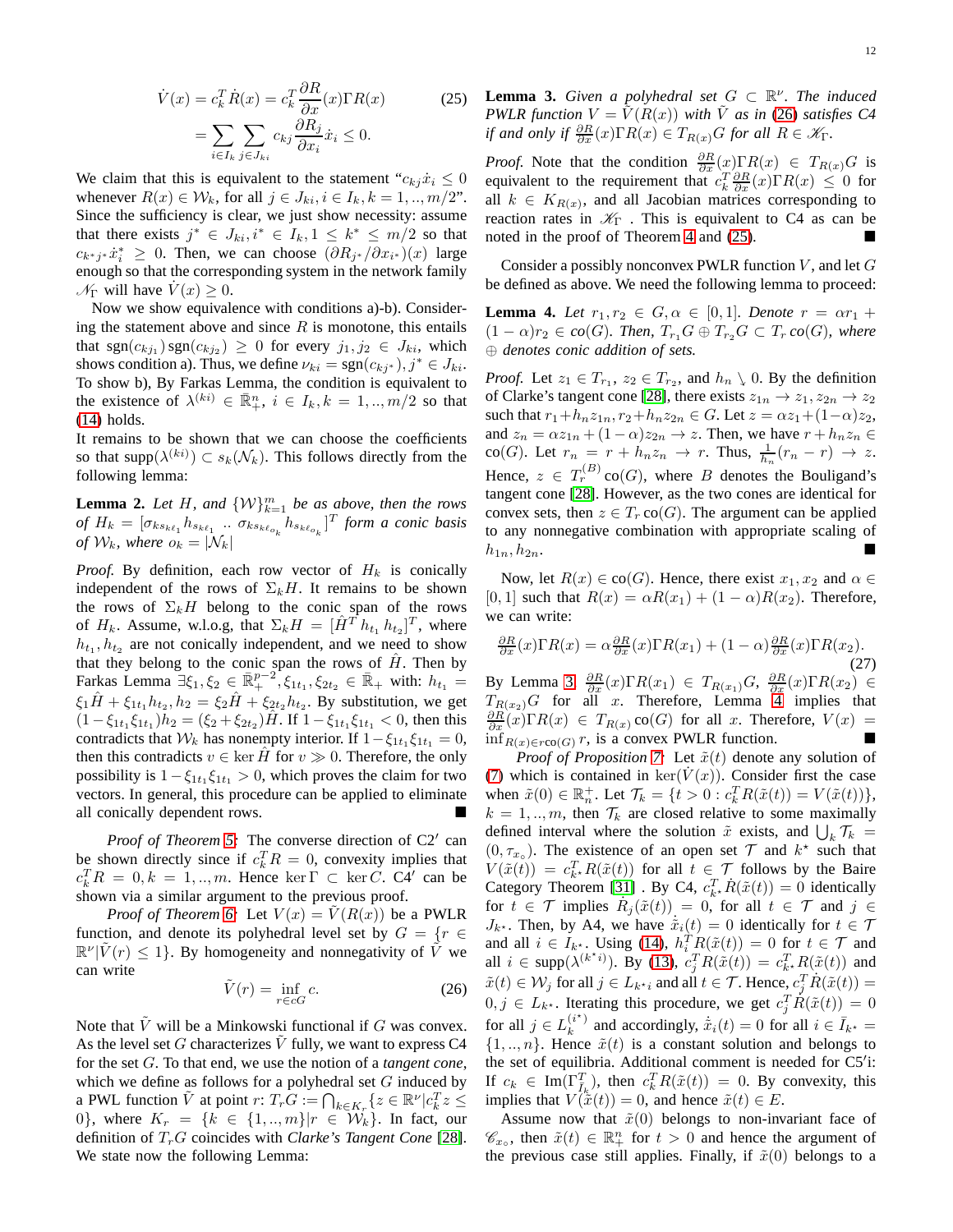$$
\dot{V}(x) = c_k^T \dot{R}(x) = c_k^T \frac{\partial R}{\partial x}(x) \Gamma R(x) \n= \sum_{i \in I_k} \sum_{j \in J_{ki}} c_{kj} \frac{\partial R_j}{\partial x_i} \dot{x}_i \le 0.
$$
\n(25)

We claim that this is equivalent to the statement " $c_{kj}\dot{x}_i \leq 0$ whenever  $R(x) \in \mathcal{W}_k$ , for all  $j \in J_{ki}, i \in I_k, k = 1, ..., m/2$ ". Since the sufficiency is clear, we just show necessity: assume that there exists  $j^* \in J_{ki}, i^* \in I_k, 1 \leq k^* \leq m/2$  so that  $c_{k^*j^*}\dot{x}_i^* \geq 0$ . Then, we can choose  $(\partial R_{j^*}/\partial x_{i^*})(x)$  large enough so that the corresponding system in the network family  $\mathcal{N}_{\Gamma}$  will have  $V(x) \geq 0$ .

Now we show equivalence with conditions a)-b). Considering the statement above and since  $R$  is monotone, this entails that  $sgn(c_{kj_1}) sgn(c_{kj_2}) \geq 0$  for every  $j_1, j_2 \in J_{ki}$ , which shows condition a). Thus, we define  $\nu_{ki} = \text{sgn}(c_{kj^*}), j^* \in J_{ki}$ . To show b), By Farkas Lemma, the condition is equivalent to the existence of  $\lambda^{(ki)} \in \overline{\mathbb{R}}_+^n$ ,  $i \in I_k, k = 1, ..., m/2$  so that [\(14\)](#page-4-2) holds.

It remains to be shown that we can choose the coefficients so that supp $(\lambda^{(ki)}) \subset s_k(\mathcal{N}_k)$ . This follows directly from the following lemma:

**Lemma 2.** Let H, and  $\{W\}_{k=1}^m$  be as above, then the rows of  $H_k = [\sigma_{ks_{k\ell_1}} h_{s_{k\ell_1}} \dots \sigma_{ks_{k\ell_{o_k}}} h_{s_{k\ell_{o_k}}} ]^T$  form a conic basis *of*  $W_k$ *, where*  $o_k = |N_k|$ 

*Proof.* By definition, each row vector of  $H_k$  is conically independent of the rows of  $\Sigma_k H$ . It remains to be shown the rows of  $\Sigma_k H$  belong to the conic span of the rows of  $H_k$ . Assume, w.l.o.g, that  $\Sigma_k H = [\hat{H}^T h_{t_1} h_{t_2}]^T$ , where  $h_{t_1}, h_{t_2}$  are not conically independent, and we need to show that they belong to the conic span the rows of  $\hat{H}$ . Then by Farkas Lemma  $\exists \xi_1, \xi_2 \in \mathbb{R}^{p-2}_+, \xi_{1t_1}, \xi_{2t_2} \in \mathbb{R}_+$  with:  $h_{t_1} =$  $\xi_1 \hat{H} + \xi_{1t_1} h_{t_2}, h_2 = \xi_2 \hat{H} + \xi_{2t_2} h_{t_2}$ . By substitution, we get  $(1 - \xi_{1t_1}\xi_{1t_1})h_2 = (\xi_2 + \xi_{2t_2})\hat{H}$ . If  $1 - \xi_{1t_1}\xi_{1t_1} < 0$ , then this contradicts that  $W_k$  has nonempty interior. If  $1 - \xi_{1t_1} \xi_{1t_1} = 0$ , then this contradicts  $v \in \ker \hat{H}$  for  $v \gg 0$ . Therefore, the only possibility is  $1 - \xi_{1t_1} \xi_{1t_1} > 0$ , which proves the claim for two vectors. In general, this procedure can be applied to eliminate all conically dependent rows.

*Proof of Theorem [5:](#page-4-6)* The converse direction of C2′ can be shown directly since if  $c_k^T R = 0$ , convexity implies that  $c_k^T R = 0, k = 1, ..., m$ . Hence ker  $\Gamma \subset \text{ker } C$ . C4' can be shown via a similar argument to the previous proof.

*Proof of Theorem [6:](#page-4-0)* Let  $V(x) = V(R(x))$  be a PWLR function, and denote its polyhedral level set by  $G = \{r \in$  $\mathbb{R}^{\nu}|\tilde{V}(r)| \leq 1$ . By homogeneity and nonnegativity of  $\tilde{V}$  we can write

$$
\tilde{V}(r) = \inf_{r \in cG} c. \tag{26}
$$

<span id="page-11-2"></span><span id="page-11-1"></span>Note that  $\tilde{V}$  will be a Minkowski functional if G was convex. As the level set G characterizes  $\tilde{V}$  fully, we want to express C4 for the set G. To that end, we use the notion of a *tangent cone*, which we define as follows for a polyhedral set  $G$  induced by a PWL function  $\tilde{V}$  at point  $r: T_r G := \bigcap_{k \in K_r} \{ z \in \mathbb{R}^{\nu} | c_k^T z \leq$ 0}, where  $K_r = \{k \in \{1, ..., m\} | r \in W_k\}$ . In fact, our definition of  $T_rG$  coincides with *Clarke's Tangent Cone* [\[28\]](#page-14-12). We state now the following Lemma:

<span id="page-11-0"></span>**Lemma 3.** *Given a polyhedral set*  $G \subset \mathbb{R}^{\nu}$ *. The induced PWLR function*  $V = V(R(x))$  *with V as in* [\(26\)](#page-11-1) *satisfies C4 if and only if*  $\frac{\partial R}{\partial x}(x) \Gamma R(x) \in T_{R(x)}G$  *for all*  $R \in \mathcal{K}_{\Gamma}$ .

*Proof.* Note that the condition  $\frac{\partial R}{\partial x}(x)\Gamma R(x) \in T_{R(x)}G$  is equivalent to the requirement that  $c_k^T \frac{\partial R}{\partial x}(x) \Gamma R(x) \leq 0$  for all  $k \in K_{R(x)}$ , and all Jacobian matrices corresponding to reaction rates in  $\mathcal{K}_{\Gamma}$ . This is equivalent to C4 as can be noted in the proof of Theorem [4](#page-4-4) and [\(25\)](#page-11-0).

<span id="page-11-3"></span>Consider a possibly nonconvex PWLR function  $V$ , and let  $G$ be defined as above. We need the following lemma to proceed:

**Lemma 4.** Let  $r_1, r_2 \in G, \alpha \in [0, 1]$ . Denote  $r = \alpha r_1 +$  $(1 - \alpha)r_2 \in co(G)$ *. Then,*  $T_{r_1}G \oplus T_{r_2}G \subset T_r co(G)$ *, where* ⊕ *denotes conic addition of sets.*

*Proof.* Let  $z_1 \in T_{r_1}$ ,  $z_2 \in T_{r_2}$ , and  $h_n \setminus 0$ . By the definition of Clarke's tangent cone [\[28\]](#page-14-12), there exists  $z_{1n} \rightarrow z_1, z_{2n} \rightarrow z_2$ such that  $r_1+h_nz_{1n}$ ,  $r_2+h_nz_{2n} \in G$ . Let  $z = \alpha z_1+(1-\alpha)z_2$ , and  $z_n = \alpha z_{1n} + (1 - \alpha)z_{2n} \rightarrow z$ . Then, we have  $r + h_n z_n \in$ co(G). Let  $r_n = r + h_n z_n \to r$ . Thus,  $\frac{1}{h_n}(r_n - r) \to z$ . Hence,  $z \in T_r^{(B)}$  co $(G)$ , where B denotes the Bouligand's tangent cone [\[28\]](#page-14-12). However, as the two cones are identical for convex sets, then  $z \in T_r$  co(G). The argument can be applied to any nonnegative combination with appropriate scaling of  $h_{1n}, h_{2n}.$ 

Now, let  $R(x) \in \text{co}(G)$ . Hence, there exist  $x_1, x_2$  and  $\alpha \in$ [0, 1] such that  $R(x) = \alpha R(x_1) + (1 - \alpha)R(x_2)$ . Therefore, we can write:

$$
\frac{\partial R}{\partial x}(x)\Gamma R(x) = \alpha \frac{\partial R}{\partial x}(x)\Gamma R(x_1) + (1 - \alpha)\frac{\partial R}{\partial x}(x)\Gamma R(x_2).
$$
\n(27)

By Lemma [3,](#page-11-2)  $\frac{\partial R}{\partial x}(x)\Gamma R(x_1) \in T_{R(x_1)}G$ ,  $\frac{\partial R}{\partial x}(x)\Gamma R(x_2) \in$  $T_{R(x_2)}G$  for all x. Therefore, Lemma [4](#page-11-3) implies that  $\frac{\partial R}{\partial x}(x)\Gamma R(x) \in T_{R(x)}\text{ co}(G)$  for all x. Therefore,  $V(x) =$  $inf_{R(x) \in r \text{co}(G)} r$ , is a convex PWLR function.

*Proof of Proposition* [7:](#page-5-1) Let  $\tilde{x}(t)$  denote any solution of [\(7\)](#page-2-0) which is contained in ker( $V(x)$ ). Consider first the case when  $\tilde{x}(0) \in \mathbb{R}_n^+$ . Let  $\mathcal{T}_k = \{t > 0 : c_k^T R(\tilde{x}(t)) = V(\tilde{x}(t))\},$  $k = 1, \ldots, m$ , then  $\mathcal{T}_k$  are closed relative to some maximally defined interval where the solution  $\tilde{x}$  exists, and  $\bigcup_k \mathcal{T}_k =$  $(0, \tau_{x_0})$ . The existence of an open set  $\mathcal T$  and  $k^*$  such that  $V(\tilde{x}(t)) = c_{k^*}^T R(\tilde{x}(t))$  for all  $t \in \mathcal{T}$  follows by the Baire Category Theorem [\[31\]](#page-14-15) . By C4,  $c_{k}^{T} \cdot \dot{R}(\tilde{x}(t)) = 0$  identically for  $t \in \mathcal{T}$  implies  $\dot{R}_j(\tilde{x}(t)) = 0$ , for all  $t \in \mathcal{T}$  and  $j \in$  $J_{k^*}$ . Then, by A4, we have  $\dot{\tilde{x}}_i(t) = 0$  identically for  $t \in \mathcal{T}$ and all  $i \in I_{k^*}$ . Using [\(14\)](#page-4-2),  $h_i^T R(\tilde{x}(t)) = 0$  for  $t \in \mathcal{T}$  and all  $i \in \text{supp}(\lambda^{(k^*i)})$ . By [\(13\)](#page-4-3),  $c_j^T R(\tilde{x}(t)) = c_{k^*}^T R(\tilde{x}(t))$  and  $\tilde{x}(t) \in \mathcal{W}_j$  for all  $j \in L_{k \star i}$  and all  $t \in \mathcal{T}$ . Hence,  $c_j^T \dot{R}(\tilde{x}(t)) =$  $0, j \in L_{k^*}$ . Iterating this procedure, we get  $c_j^T \check{R}(\tilde{x}(t)) = 0$ for all  $j \in L_k^{(i^*)}$  $\lambda_k^{(i^*)}$  and accordingly,  $\dot{\tilde{x}}_i(t) = 0$  for all  $i \in \bar{I}_{k^*} =$  $\{1, ..., n\}$ . Hence  $\tilde{x}(t)$  is a constant solution and belongs to the set of equilibria. Additional comment is needed for C5′ i: If  $c_k \in \text{Im}(\Gamma_{\bar{I}_k}^T)$ , then  $c_k^T R(\tilde{x}(t)) = 0$ . By convexity, this implies that  $V(\tilde{\tilde{x}}(t)) = 0$ , and hence  $\tilde{x}(t) \in E$ .

Assume now that  $\tilde{x}(0)$  belongs to non-invariant face of  $\mathscr{C}_{x_0}$ , then  $\tilde{x}(t) \in \mathbb{R}^n_+$  for  $t > 0$  and hence the argument of the previous case still applies. Finally, if  $\tilde{x}(0)$  belongs to a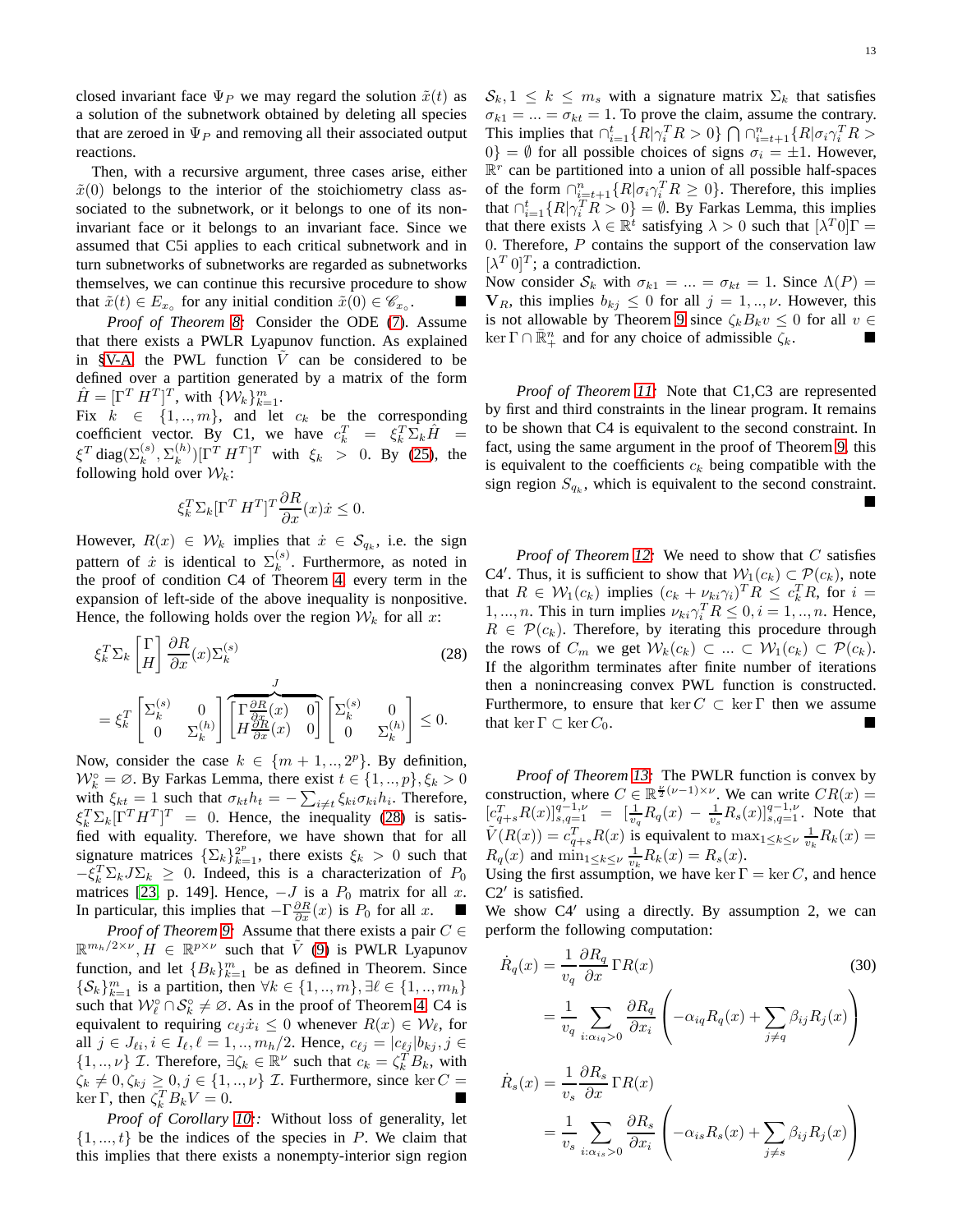closed invariant face  $\Psi_P$  we may regard the solution  $\tilde{x}(t)$  as a solution of the subnetwork obtained by deleting all species that are zeroed in  $\Psi_P$  and removing all their associated output reactions.

Then, with a recursive argument, three cases arise, either  $\tilde{x}(0)$  belongs to the interior of the stoichiometry class associated to the subnetwork, or it belongs to one of its noninvariant face or it belongs to an invariant face. Since we assumed that C5i applies to each critical subnetwork and in turn subnetworks of subnetworks are regarded as subnetworks themselves, we can continue this recursive procedure to show that  $\tilde{x}(t) \in E_{x}$  for any initial condition  $\tilde{x}(0) \in \mathscr{C}_{x}$ .

*Proof of Theorem [8:](#page-5-2)* Consider the ODE [\(7\)](#page-2-0). Assume that there exists a PWLR Lyapunov function. As explained in [§V-A,](#page-6-3) the PWL function  $V$  can be considered to be defined over a partition generated by a matrix of the form  $\hat{H} = [\Gamma^T H^T]^T$ , with  $\{W_k\}_{k=1}^m$ .

Fix  $k \in \{1, ..., m\}$ , and let  $c_k$  be the corresponding coefficient vector. By C1, we have  $c_k^T = \xi_k^T \Sigma_k \hat{H} =$  $\xi^T$  diag $(\Sigma_k^{(s)},\Sigma_k^{(h)}$  $(k)$  $\left[\Gamma^T H^T\right]^T$  with  $\xi_k > 0$ . By [\(25\)](#page-11-0), the following hold over  $W_k$ :

$$
\xi_k^T \Sigma_k [\Gamma^T H^T]^T \frac{\partial R}{\partial x}(x) \dot{x} \le 0.
$$

However,  $R(x) \in \mathcal{W}_k$  implies that  $\dot{x} \in \mathcal{S}_{q_k}$ , i.e. the sign pattern of  $\dot{x}$  is identical to  $\Sigma_k^{(s)}$  $k^{(s)}$ . Furthermore, as noted in the proof of condition C4 of Theorem [4,](#page-4-4) every term in the expansion of left-side of the above inequality is nonpositive. Hence, the following holds over the region  $W_k$  for all x:

$$
\xi_k^T \Sigma_k \begin{bmatrix} \Gamma \\ H \end{bmatrix} \frac{\partial R}{\partial x}(x) \Sigma_k^{(s)} \qquad (28)
$$

$$
= \xi_k^T \begin{bmatrix} \Sigma_k^{(s)} & 0 \\ 0 & \Sigma_k^{(h)} \end{bmatrix} \begin{bmatrix} \Gamma \frac{\partial R}{\partial x}(x) & 0 \\ H \frac{\partial R}{\partial x}(x) & 0 \end{bmatrix} \begin{bmatrix} \Sigma_k^{(s)} & 0 \\ 0 & \Sigma_k^{(h)} \end{bmatrix} \le 0.
$$

Now, consider the case  $k \in \{m+1, ..., 2^p\}$ . By definition,  $W_k^{\circ} = \emptyset$ . By Farkas Lemma, there exist  $t \in \{1, ..., p\}, \xi_k > 0$ with  $\xi_{kt} = 1$  such that  $\sigma_{kt} h_t = -\sum_{i \neq t} \xi_{ki} \sigma_{ki} h_i$ . Therefore,  $\xi_k^T \Sigma_k [\Gamma^T H^T]^T = 0$ . Hence, the inequality [\(28\)](#page-12-0) is satisfied with equality. Therefore, we have shown that for all signature matrices  $\{\sum_{k}\}_{k=1}^{2^p}$ , there exists  $\xi_k > 0$  such that  $-\xi_k^T \Sigma_k J \Sigma_k \geq 0$ . Indeed, this is a characterization of  $P_0$ matrices [\[23,](#page-14-7) p. 149]. Hence,  $-J$  is a  $P_0$  matrix for all x. In particular, this implies that  $-\Gamma \frac{\partial R}{\partial x}(x)$  is  $P_0$  for all  $x$ .  $\blacksquare$ 

*Proof of Theorem [9:](#page-6-0)* Assume that there exists a pair  $C \in$  $\mathbb{R}^{m_h/2 \times \nu}$ ,  $H \in \mathbb{R}^{p \times \nu}$  such that  $\tilde{V}$  [\(9\)](#page-3-2) is PWLR Lyapunov function, and let  ${B_k}_{k=1}^m$  be as defined in Theorem. Since  $\{\mathcal{S}_k\}_{k=1}^m$  is a partition, then  $\forall k \in \{1, ..., m\}, \exists \ell \in \{1, ..., m_h\}$ such that  $W_{\ell}^{\circ} \cap \mathcal{S}_{k}^{\circ} \neq \emptyset$ . As in the proof of Theorem [4,](#page-4-4) C4 is equivalent to requiring  $c_{\ell j} \dot{x}_i \leq 0$  whenever  $R(x) \in \mathcal{W}_{\ell}$ , for all  $j \in J_{\ell i}, i \in I_{\ell}, \ell = 1, ..., m_h/2$ . Hence,  $c_{\ell j} = |c_{\ell j}| b_{kj}, j \in I_{\ell i}$  $\{1, ..., \nu\}$  *T*. Therefore,  $\exists \zeta_k \in \mathbb{R}^{\nu}$  such that  $c_k = \zeta_k^T B_k$ , with  $\zeta_k \neq 0, \zeta_{kj} \geq 0, j \in \{1, ..., \nu\}$  *I*. Furthermore, since ker *C* =  $\ker \Gamma$ , then  $\zeta_k^T B_k V = 0$ .

*Proof of Corollary [10:](#page-6-4):* Without loss of generality, let  $\{1, ..., t\}$  be the indices of the species in P. We claim that this implies that there exists a nonempty-interior sign region  $\mathcal{S}_k, 1 \leq k \leq m_s$  with a signature matrix  $\Sigma_k$  that satisfies  $\sigma_{k1} = ... = \sigma_{kt} = 1$ . To prove the claim, assume the contrary. This implies that  $\bigcap_{i=1}^t \{R|\gamma_i^T R > 0\} \bigcap \bigcap_{i=t+1}^n \{R|\sigma_i \gamma_i^T R > 0\}$  $0$ } = Ø for all possible choices of signs  $\sigma_i = \pm 1$ . However,  $\mathbb{R}^r$  can be partitioned into a union of all possible half-spaces of the form  $\bigcap_{i=t+1}^n \{R | \sigma_i \gamma_i^T R \geq 0\}$ . Therefore, this implies that  $\bigcap_{i=1}^t \{R|\bigcap_i^T R > 0\} = \emptyset$ . By Farkas Lemma, this implies that there exists  $\lambda \in \mathbb{R}^t$  satisfying  $\lambda > 0$  such that  $[\lambda^T 0] \Gamma =$ 0. Therefore,  $P$  contains the support of the conservation law  $[\lambda^T 0]^T$ ; a contradiction.

Now consider  $S_k$  with  $\sigma_{k1} = ... = \sigma_{kt} = 1$ . Since  $\Lambda(P) =$  $\mathbf{V}_R$ , this implies  $b_{kj} \leq 0$  for all  $j = 1, ..., \nu$ . However, this is not allowable by Theorem [9](#page-6-0) since  $\zeta_k B_k v \leq 0$  for all  $v \in$  $\ker \Gamma \cap \overline{\mathbb{R}}_+^n$  and for any choice of admissible  $\zeta_k$ .

*Proof of Theorem [11:](#page-6-2)* Note that C1,C3 are represented by first and third constraints in the linear program. It remains to be shown that C4 is equivalent to the second constraint. In fact, using the same argument in the proof of Theorem [9,](#page-6-0) this is equivalent to the coefficients  $c_k$  being compatible with the sign region  $S_{q_k}$ , which is equivalent to the second constraint.  $\blacksquare$ 

<span id="page-12-0"></span>*Proof of Theorem [12:](#page-7-5)* We need to show that C satisfies C4'. Thus, it is sufficient to show that  $W_1(c_k) \subset \mathcal{P}(c_k)$ , note that  $R \in \mathcal{W}_1(c_k)$  implies  $(c_k + \nu_{ki} \gamma_i)^T R \leq c_k^T R$ , for  $i =$ 1, ..., *n*. This in turn implies  $\nu_{ki} \gamma_i^T R \leq 0, i = 1, ..., n$ . Hence,  $R \in \mathcal{P}(c_k)$ . Therefore, by iterating this procedure through the rows of  $C_m$  we get  $W_k(c_k) \subset ... \subset W_1(c_k) \subset \mathcal{P}(c_k)$ . If the algorithm terminates after finite number of iterations then a nonincreasing convex PWL function is constructed. Furthermore, to ensure that ker  $C \subset \text{ker } \Gamma$  then we assume that ker  $\Gamma \subset \ker C_0$ .

*Proof of Theorem [13:](#page-7-1)* The PWLR function is convex by construction, where  $C \in \mathbb{R}^{\frac{\nu}{2}(\nu-1)\times \nu}$ . We can write  $CR(x) =$  $[c_{q+s}^T R(x)]_{s,q=1}^{q-1,\nu} = [\frac{1}{v_q} R_q(x) - \frac{1}{v_s} R_s(x)]_{s,q=1}^{q-1,\nu}$ . Note that  $\tilde{V}(R(x)) = c_{q+s}^T R(x)$  is equivalent to  $\max_{1 \leq k \leq \nu} \frac{1}{v_k} R_k(x) =$  $R_q(x)$  and  $\min_{1 \leq k \leq \nu} \frac{1}{v_k} R_k(x) = R_s(x)$ .

Using the first assumption, we have ker  $\Gamma = \ker C$ , and hence C2′ is satisfied.

We show C4′ using a directly. By assumption 2, we can perform the following computation:

<span id="page-12-1"></span>
$$
\dot{R}_q(x) = \frac{1}{v_q} \frac{\partial R_q}{\partial x} \Gamma R(x) \tag{30}
$$
\n
$$
= \frac{1}{v_q} \sum_{i: \alpha_{iq} > 0} \frac{\partial R_q}{\partial x_i} \left( -\alpha_{iq} R_q(x) + \sum_{j \neq q} \beta_{ij} R_j(x) \right)
$$

$$
\dot{R}_s(x) = \frac{1}{v_s} \frac{\partial R_s}{\partial x} \Gamma R(x)
$$

$$
= \frac{1}{v_s} \sum_{i:\alpha_{is}>0} \frac{\partial R_s}{\partial x_i} \left( -\alpha_{is} R_s(x) + \sum_{j \neq s} \beta_{ij} R_j(x) \right)
$$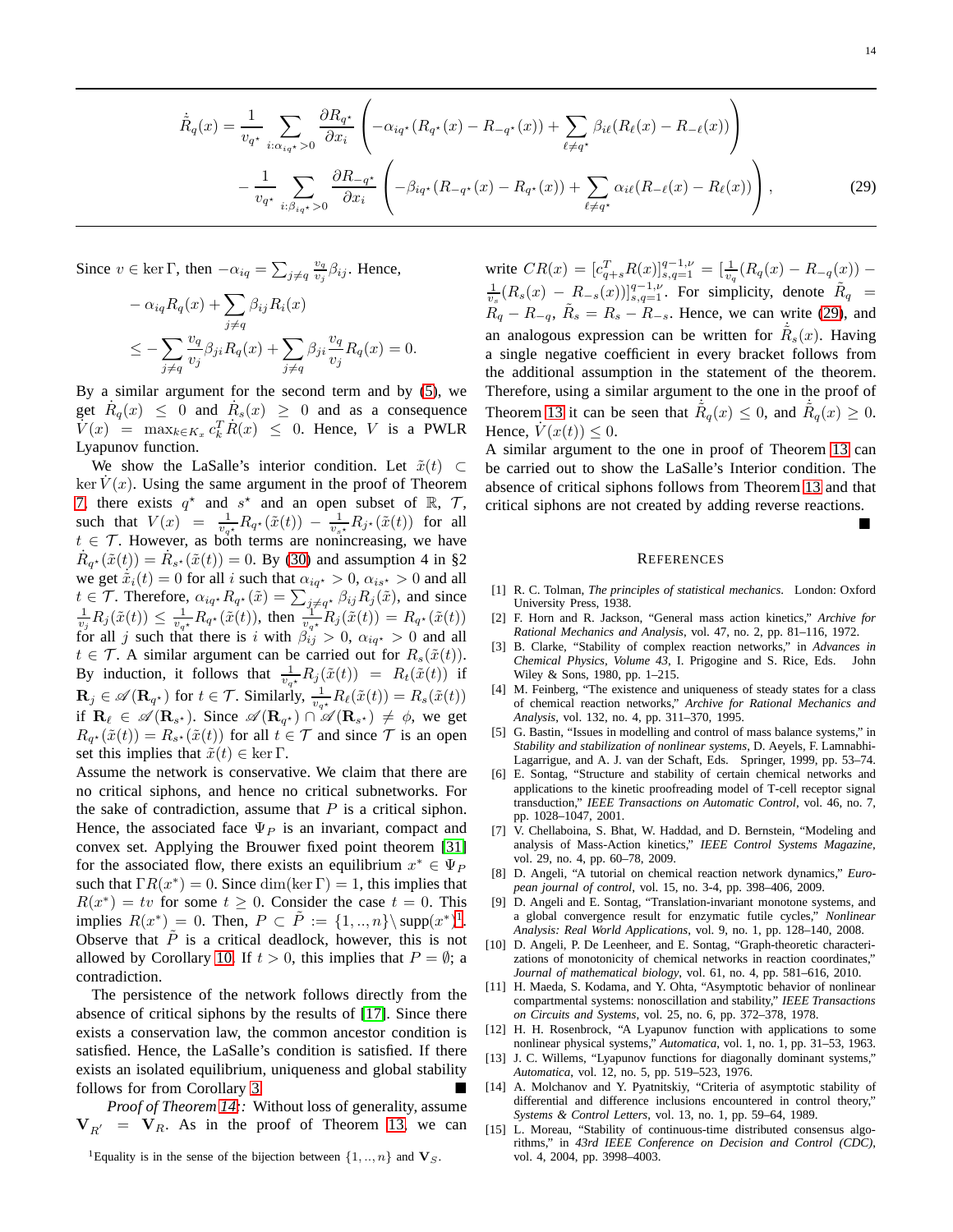<span id="page-13-15"></span> $\blacksquare$ 

$$
\dot{\tilde{R}}_{q}(x) = \frac{1}{v_{q^{*}}}\sum_{i:\alpha_{iq^{*}}>0} \frac{\partial R_{q^{*}}}{\partial x_{i}} \left( -\alpha_{iq^{*}}(R_{q^{*}}(x) - R_{-q^{*}}(x)) + \sum_{\ell \neq q^{*}} \beta_{i\ell}(R_{\ell}(x) - R_{-\ell}(x)) \right) \n- \frac{1}{v_{q^{*}}}\sum_{i:\beta_{iq^{*}}>0} \frac{\partial R_{-q^{*}}}{\partial x_{i}} \left( -\beta_{iq^{*}}(R_{-q^{*}}(x) - R_{q^{*}}(x)) + \sum_{\ell \neq q^{*}} \alpha_{i\ell}(R_{-\ell}(x) - R_{\ell}(x)) \right),
$$
\n(29)

Since  $v \in \ker \Gamma$ , then  $-\alpha_{iq} = \sum_{j \neq q} \frac{v_q}{v_j}$  $\frac{v_q}{v_j}\beta_{ij}$ . Hence,

$$
- \alpha_{iq} R_q(x) + \sum_{j \neq q} \beta_{ij} R_i(x)
$$
  

$$
\leq - \sum_{j \neq q} \frac{v_q}{v_j} \beta_{ji} R_q(x) + \sum_{j \neq q} \beta_{ji} \frac{v_q}{v_j} R_q(x) = 0.
$$

By a similar argument for the second term and by [\(5\)](#page-1-1), we get  $\dot{R}_q(x) \leq 0$  and  $\dot{R}_s(x) \geq 0$  and as a consequence  $V(x) = \max_{k \in K_x} c_k^T \dot{R}(x) \leq 0$ . Hence, V is a PWLR Lyapunov function.

We show the LaSalle's interior condition. Let  $\tilde{x}(t) \subset$  $\ker V(x)$ . Using the same argument in the proof of Theorem [7,](#page-5-1) there exists  $q^*$  and  $s^*$  and an open subset of  $\mathbb{R}$ ,  $\mathcal{T}$ , such that  $V(x) = \frac{1}{v_{q*}} R_{q*}(\tilde{x}(t)) - \frac{1}{v_{s*}} R_{j*}(\tilde{x}(t))$  for all  $t \in \mathcal{T}$ . However, as both terms are nonincreasing, we have  $\dot{R}_{q^*}(\tilde{x}(t)) = \dot{R}_{s^*}(\tilde{x}(t)) = 0$ . By [\(30\)](#page-12-1) and assumption 4 in §2 we get  $\dot{\tilde{x}}_i(t) = 0$  for all i such that  $\alpha_{iq^*} > 0$ ,  $\alpha_{is^*} > 0$  and all  $t \in \mathcal{T}$ . Therefore,  $\alpha_{iq^*} R_{q^*}(\tilde{x}) = \sum_{j \neq q^*} \beta_{ij} R_j(\tilde{x})$ , and since  $\frac{1}{v_j} R_j(\tilde{x}(t)) \leq \frac{1}{v_{q^*}} R_{q^*}(\tilde{x}(t))$ , then  $\frac{1}{v_{q^*}} R_j(\tilde{x}(t)) = R_{q^*}(\tilde{x}(t))$ for all j such that there is i with  $\beta_{ij} > 0$ ,  $\alpha_{iq^*} > 0$  and all  $t \in \mathcal{T}$ . A similar argument can be carried out for  $R_s(\tilde{x}(t))$ . By induction, it follows that  $\frac{1}{v_{q*}} R_j(\tilde{x}(t)) = R_t(\tilde{x}(t))$  if  $\mathbf{R}_j \in \mathscr{A}(\mathbf{R}_{q^*})$  for  $t \in \mathcal{T}$ . Similarly,  $\frac{1}{v_{q^*}}R_\ell(\tilde{x}(t)) = R_s(\tilde{x}(t))$ if  $\mathbf{R}_{\ell} \in \mathscr{A}(\mathbf{R}_{s^*})$ . Since  $\mathscr{A}(\mathbf{R}_{q^*}) \cap \mathscr{A}(\mathbf{R}_{s^*}) \neq \emptyset$ , we get  $R_{q^*}(\tilde{x}(t)) = R_{s^*}(\tilde{x}(t))$  for all  $t \in \mathcal{T}$  and since  $\mathcal{T}$  is an open set this implies that  $\tilde{x}(t) \in \text{ker } \Gamma$ .

Assume the network is conservative. We claim that there are no critical siphons, and hence no critical subnetworks. For the sake of contradiction, assume that  $P$  is a critical siphon. Hence, the associated face  $\Psi_P$  is an invariant, compact and convex set. Applying the Brouwer fixed point theorem [\[31\]](#page-14-15) for the associated flow, there exists an equilibrium  $x^* \in \Psi_F$ such that  $\Gamma R(x^*) = 0$ . Since  $\dim(\ker \Gamma) = 1$ , this implies that  $R(x^*) = tv$  for some  $t \geq 0$ . Consider the case  $t = 0$ . This implies  $R(x^*) = 0$ . Then,  $P \subset \tilde{P} := \{1, ..., n\} \setminus \text{supp}(x^*)^1$ . Observe that  $\tilde{P}$  is a critical deadlock, however, this is not allowed by Corollary [10.](#page-6-4) If  $t > 0$ , this implies that  $P = \emptyset$ ; a contradiction.

The persistence of the network follows directly from the absence of critical siphons by the results of [\[17\]](#page-14-1). Since there exists a conservation law, the common ancestor condition is satisfied. Hence, the LaSalle's condition is satisfied. If there exists an isolated equilibrium, uniqueness and global stability follows for from Corollary [3.](#page-4-1)

*Proof of Theorem [14:](#page-7-3):* Without loss of generality, assume  $V_{R'} = V_{R}$ . As in the proof of Theorem [13,](#page-7-1) we can

write  $CR(x) = [c_{q+s}^{T} R(x)]_{s,q=1}^{q-1,\nu} = [\frac{1}{v_q}(R_q(x) - R_{-q}(x)) \frac{1}{v_s}(R_s(x) - R_{-s}(x))\big|_{s,q=1}^{q-1,\nu}$ . For simplicity, denote  $\tilde{R}_q$  =  $\tilde{R}_q - R_{-q}, \tilde{R}_s = R_s - R_{-s}.$  Hence, we can write [\(29\)](#page-13-15), and an analogous expression can be written for  $\tilde{R}_s(x)$ . Having a single negative coefficient in every bracket follows from the additional assumption in the statement of the theorem. Therefore, using a similar argument to the one in the proof of Theorem [13](#page-7-1) it can be seen that  $\tilde{R}_q(x) \leq 0$ , and  $\tilde{R}_q(x) \geq 0$ . Hence,  $V(x(t)) \leq 0$ .

A similar argument to the one in proof of Theorem [13](#page-7-1) can be carried out to show the LaSalle's Interior condition. The absence of critical siphons follows from Theorem [13](#page-7-1) and that critical siphons are not created by adding reverse reactions.

#### **REFERENCES**

- <span id="page-13-0"></span>[1] R. C. Tolman, *The principles of statistical mechanics*. London: Oxford University Press, 1938.
- <span id="page-13-1"></span>[2] F. Horn and R. Jackson, "General mass action kinetics," *Archive for Rational Mechanics and Analysis*, vol. 47, no. 2, pp. 81–116, 1972.
- <span id="page-13-2"></span>[3] B. Clarke, "Stability of complex reaction networks," in *Advances in Chemical Physics, Volume 43*, I. Prigogine and S. Rice, Eds. John Wiley & Sons, 1980, pp. 1–215.
- <span id="page-13-3"></span>[4] M. Feinberg, "The existence and uniqueness of steady states for a class of chemical reaction networks," *Archive for Rational Mechanics and Analysis*, vol. 132, no. 4, pp. 311–370, 1995.
- <span id="page-13-4"></span>[5] G. Bastin, "Issues in modelling and control of mass balance systems," in *Stability and stabilization of nonlinear systems*, D. Aeyels, F. Lamnabhi-Lagarrigue, and A. J. van der Schaft, Eds. Springer, 1999, pp. 53–74.
- <span id="page-13-5"></span>[6] E. Sontag, "Structure and stability of certain chemical networks and applications to the kinetic proofreading model of T-cell receptor signal transduction," *IEEE Transactions on Automatic Control*, vol. 46, no. 7, pp. 1028–1047, 2001.
- <span id="page-13-6"></span>[7] V. Chellaboina, S. Bhat, W. Haddad, and D. Bernstein, "Modeling and analysis of Mass-Action kinetics," *IEEE Control Systems Magazine*, vol. 29, no. 4, pp. 60–78, 2009.
- <span id="page-13-7"></span>[8] D. Angeli, "A tutorial on chemical reaction network dynamics," *European journal of control*, vol. 15, no. 3-4, pp. 398–406, 2009.
- <span id="page-13-8"></span>[9] D. Angeli and E. Sontag, "Translation-invariant monotone systems, and a global convergence result for enzymatic futile cycles," *Nonlinear Analysis: Real World Applications*, vol. 9, no. 1, pp. 128–140, 2008.
- <span id="page-13-9"></span>[10] D. Angeli, P. De Leenheer, and E. Sontag, "Graph-theoretic characterizations of monotonicity of chemical networks in reaction coordinates, *Journal of mathematical biology*, vol. 61, no. 4, pp. 581–616, 2010.
- <span id="page-13-10"></span>[11] H. Maeda, S. Kodama, and Y. Ohta, "Asymptotic behavior of nonlinear compartmental systems: nonoscillation and stability," *IEEE Transactions on Circuits and Systems*, vol. 25, no. 6, pp. 372–378, 1978.
- <span id="page-13-11"></span>[12] H. H. Rosenbrock, "A Lyapunov function with applications to some nonlinear physical systems," *Automatica*, vol. 1, no. 1, pp. 31–53, 1963.
- <span id="page-13-12"></span>[13] J. C. Willems, "Lyapunov functions for diagonally dominant systems," *Automatica*, vol. 12, no. 5, pp. 519–523, 1976.
- <span id="page-13-13"></span>[14] A. Molchanov and Y. Pyatnitskiy, "Criteria of asymptotic stability of differential and difference inclusions encountered in control theory," *Systems & Control Letters*, vol. 13, no. 1, pp. 59–64, 1989.
- <span id="page-13-14"></span>[15] L. Moreau, "Stability of continuous-time distributed consensus algorithms," in *43rd IEEE Conference on Decision and Control (CDC)*, vol. 4, 2004, pp. 3998–4003.

<sup>&</sup>lt;sup>1</sup>Equality is in the sense of the bijection between  $\{1, ..., n\}$  and  $V_S$ .